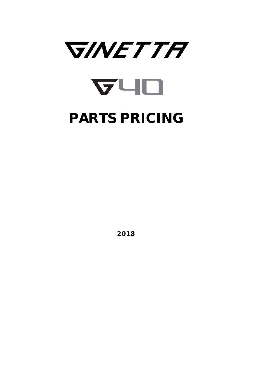

2018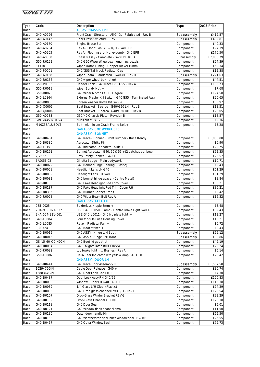| Type | Code             | Description                                            | Type        | 2018 Price        |
|------|------------------|--------------------------------------------------------|-------------|-------------------|
| Race |                  | <b>ASSY - CHASSIS EPB</b>                              |             |                   |
| Race | G40-A0296        | Front Crash Structure - All G40s - Fabricated - Rev B  | Subassembly | £419.57           |
| Race | G40-A0142        | Rear Crash Structure - Rev E                           | Subassembly | £402.81           |
| Race | G40-A0170        | Engine Brace Bar                                       | Component   | £40.33            |
| Race | G40-A0204        | Rev A - Floor Skin L/H & R/H - G40 EPB                 | Component   | £97.39            |
| Race | G40-A0205        | Rev A - Floor Insert - Honeycomb - G40 EPB             | Component   | £170.50           |
| Race | G40-A0300        | Chassis Assy - Complete - G40 EPB RHD                  | Subassembly | £7,006.79         |
| Race | G50-R0122        | G40 G50 Wiper Wheelbox - long - inc bezels             | Component   | £54.39            |
| Race | <b>FK110</b>     | Wiper Motor Tubing - Copper Nickel 10mm                | Component   | £69.34            |
| Race | G40-P0001        | G40/G55 Tall Neck Radiator Cap                         | Component   | £12.38            |
|      | G40-A0158        | Wiper Beam - Fabricated - G40 All - Rev H              | Subassembly |                   |
| Race | G40-R0136        | G40 wiper wheel box - short                            |             | £221.63<br>£44.51 |
| Race |                  |                                                        | Component   |                   |
| Race | G50-P0003        | Header Tank - G40 Race G50 G55 - Rev A                 | Component   | £103.73           |
| Race | G50-R0019        | Wiper Bundy Nut +                                      | Component   | £7.68             |
| Race | G50-R0020        | G40 Wiper Motor Kit 110 Degree                         | Component   | £194.58           |
| Race | G40-L0164        | External Master Kill Switch- G40 G55 - Terminated Assy | Component   | £20.65            |
| Race | G40-R0083        | Screen Washer Bottle Kit G40 +                         | Component   | £35.97            |
| Race | G40-Q0005        | Seat Bracket - Sparco - G40/G50 LH - Rev B             | Component   | £18.51            |
| Race | G40-Q0006        | Seat Bracket - Sparco - G40/G50 RH - Rev B             | Component   | £22.05            |
| Race | G50-A0288        | G50/40 Chassis Plate - Revision B                      | Component   | £18.57            |
| Race | GIN-VK45-N-0024  | Nut Knut M8x1.25                                       | Component   | £2.36             |
| Race | M10X35ALUBOLT    | Bolt - Aluminium Crash Frame Bolt +                    | Component   | £3.28             |
| Race |                  | <b>G40 ASSY - BODYWORK EPB</b>                         |             |                   |
| Race |                  | <b>G40 ASSY - BONNET</b>                               |             |                   |
| Race | G40-B0461        | G40 Race - Bonnet - Front Bumper - Race Ready          | Component   | £1,886.80         |
| Race | G40-B0380        | Aerocatch Strike Pin                                   | Component   | £6.90             |
| Race | G40-L0151        | G40 Indicator Repeaters - Side +                       | Component   | £29.75            |
| Race | G40-B0191        | Bonnet Aerocatch G40, 50 & 55 + (2 catches per box)    | Component   | £52.35            |
| Race | 7/25621          | Stay Safety Bonnet - G40 +                             | Component   | £23.57            |
| Race | BADGE-02         | Ginetta Badge - Main bodywork                          | Component   | £10.71            |
| Race | G40-R0022        | G40 Bonnet Hinge Bearing (Plastic)                     | Component   | £9.43             |
| Race | G40-B0058        | Headlight Lens LH G40                                  | Component   | £61.29            |
| Race | G40-B0059        | Headlight Lens RH G40                                  | Component   | £61.29            |
| Race | G40-B0082        | G40 bonnet hinge spacer (Centre Metal)                 | Component   | £8.84             |
| Race | G40-B0186        | G40 Fake Headlight Pod Trim-Cover LH                   | Component   | £86.21            |
| Race | G40-B0187        | G40 Fake Headlight Pod Trim-Cover RH                   | Component   | £86.21            |
| Race | G40-B0386        | G40 Rubber Bonnet Stops                                | Component   | £9.42             |
|      | G40-R0028        | G40 Wiper Beam Bolt Rev A                              |             | £16.32            |
| Race |                  | <b>G40 ASSY - TAILGATE</b>                             | Component   |                   |
| Race | 085-0025         |                                                        |             |                   |
| Race |                  | Solderless Nipple 8mm +                                | Component   | £3.48             |
| Race | 2DA-959-071-537  | USE G40-L0050 - Lamp - Centre Brake Light G40 +        | Component   | £32.43            |
| Race | 2KA-004-331-061  | USE G40-L0011 - G40 No plate light +                   | Component   | £13.27            |
| Race | G40-L0084        | Four Module Fuse Housing Cover                         | Component   | £13.21            |
| Race | G40-L0085        | Relay - Radiator Fan +                                 | Component   | £6.72             |
| Race | 9/00724          | G40 Boot striker +                                     | Component   | £9.43             |
| Race | G40-B0015        | G40 ASSY - Hinge L/H Boot                              | Subassembly | £59.12            |
| Race | G40-B0016        | G40 ASSY - Hinge R/H Boot                              | Subassembly | £90.86            |
| Race | GS-15-60-CC-400N | G40 Boot lid gas strut                                 | Component   | £49.19            |
| Race | G40-B0054        | G40 Tailgate latch BRKT Rev A                          | Component   | £25.24            |
| Race | G40-R0092        | top brake light mtg Bushes - Rev A                     | Component   | £5.14             |
| Race | G50-L0086        | Hella Rear Indicator with yellow lamp G40 G50          | Component   | £28.42            |
| Race |                  | <b>G40 ASSY - DOOR LH</b>                              |             |                   |
| Race | G40-B0441        | G40 Race Door Assembly LH                              | Subassembly | £1,557.58         |
| Race | 1029475GIN       | Cable Door Release - G40 +                             | Component   | £30.74            |
| Race | 1388367GIN       | G40 Door Lock Rod LH +                                 | Component   | £4.30             |
| Race | G40-B0487        | Door Lock Assy RH G40/55                               | Component   | £120.83           |
| Race | G40-B0033        | Window - Door LH G40 RACE +                            | Component   | £118.38           |
| Race | G40-B0039        | 1/4 Glass L/H Clear (Plastic)                          | Component   | £74.29            |
| Race | G40-B0096        | G40 Drop glass channel FWD L/H - Rev E                 | Component   | £128.54           |
| Race | G40-B0107        | Drop Glass Winder Bracket REV G                        | Component   | £23.29            |
| Race | G40-B0109        | Drop Glass Channel AFT R/H                             | Component   | £126.18           |
| Race | G40-B0118        | G40 Door Seal                                          | Component   | £5.01             |
| Race | G40-B0121        | G40 Window flock channel small +                       | Component   | £11.50            |
| Race | G40-B0130        | Outer door handle I/h                                  | Component   | £65.50            |
| Race | G40-B0133        | G40 Weatherstrip seal inner window seal LH & RH        | Component   | £26.55            |
| Race | G40-B0467        | G40 Outer Window Seal                                  | Component   | £79.73            |
|      |                  |                                                        |             |                   |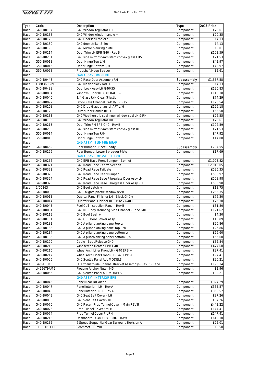| £79.61<br>Race<br>Component<br>G40 Window winder handle +<br>G40-B0138<br>Race<br>Component<br>£20.35<br>G40-B0170<br>G40 Door lock rod clip +<br>Component<br>£4.13<br>Race<br>Race<br>G40-B0180<br>G40 door striker Shim<br>£4.13<br>Component<br>Race<br>G40-B0195<br>G40 Mirror blanking plate<br>Component<br>£5.01<br>G40-B0214<br>Door Trim LH EPB G40 - Rev B<br>Race<br>Component<br>£102.59<br>G40-B0251<br>G40 side mirror 95mm stem convex glass LHS<br>£71.53<br>Race<br>Component<br>G50-B0013<br>Door Hinge Top L/H<br>£42.97<br>Race<br>Component<br>Door Hinge Bottom L/H<br>G50-B0015<br>£42.97<br>Race<br>Component<br>G50-R0058<br>Propshaft Hoop Spacer<br>£2.61<br>Race<br>Component<br><b>G40 ASSY - DOOR RH</b><br>Race<br>G40-B0443<br>G40 Race Door Assembly RH<br>Race<br>Subassembly<br>£1,557.58<br>1388360GIN<br>G40 Rh door lock rod +<br>Race<br>Component<br>£4.13<br>G40-B0488<br>Door Lock Assy LH G40/55<br>£120.83<br>Race<br>Component<br>G40-B0034<br>Race<br>Window - Door RH G40 RACE +<br>£118.38<br>Component<br>G40-B0040<br>1/4 Glass R/H Clear (Plastic)<br>£74.29<br>Race<br>Component<br>G40-B0097<br>Drop Glass Channel FWD R/H - Rev E<br>£128.54<br>Race<br>Component<br>G40-B0108<br>G40 Drop Glass channel AFT L/H<br>£126.18<br>Race<br>Component<br>G40-B0129<br>Outer Door Handle RH +<br>Component<br>£65.50<br>Race<br>G40-B0133<br>G40 Weatherstrip seal inner window seal LH & RH<br>Component<br>£26.55<br>Race<br>G40-B0136<br>G40 Window regulator RH<br>£79.61<br>Race<br>Component<br>G40-B0215<br>Door Trim RH EPB G40 - Rev B<br>£102.59<br>Race<br>Component<br>G40-B0250<br>G40 side mirror 95mm stem convex glass RHS<br>£71.53<br>Race<br>Component<br>Door Hinge Top R/H<br>Race<br>G50-B0014<br>£47.92<br>Component<br>G50-B0016<br>Door Hinge Bottom R/H<br>£44.00<br>Race<br>Component<br><b>G40 ASSY - BUMPER REAR</b><br>Race<br>G40-B0462<br>Rear Bumper - Race Ready<br>Race<br>Subassembly<br>£707.55<br>G40-B0196<br>Rear Bumper Lower Spreader Plate<br>£17.69<br>Component<br>Race<br><b>G40 ASSY - BODYSHELL EPB</b><br>Race<br>G40-B0266<br>G40 EPB Race Front Bumper - Bonnet<br>Race<br>Component<br>£1,023.82<br>G40-B0321<br>G40 Road Race Centre Section<br>Race<br>£2,918.05<br>Component<br>G40-B0322<br>G40 Road Race Tailgate<br>£525.35<br>Race<br>Component<br>G40-B0323<br>G40 Road Race Rear Bumper<br>£506.97<br>Race<br>Component<br>G40 Road Race Base Fibreglass Door Assy LH<br>G40-B0324<br>£508.98<br>Race<br>Component<br>G40-B0325<br>G40 Road Race Base Fibreglass Door Assy RH<br>£508.98<br>Race<br>Component<br>9/00263<br>G40 Boot Latch +<br>£18.75<br>Race<br>Component<br>G40-B0009<br>G40 Tailgate plastic window rev B<br>£238.35<br>Race<br>Component<br>G40-B0013<br>Quarter Panel Finisher LH - Black G40 +<br>£76.30<br>Race<br>Component<br>G40-B0014<br>Quarter Panel Finisher RH - Black G40 +<br>£76.30<br>Component<br>Race<br>G40-B0045<br>Race<br>Fuel Cell Inspection Panel - Rev B<br>Component<br>£31.80<br>Race<br>G40-B0081<br>G40 RH Body Mounting Side Channel - Race GRDC<br>E121.62<br>Component<br>G40-B0119<br>G40 Boot Seal +<br>£4.30<br>Race<br>Component<br>Race<br>G40-B0131<br>£15.89<br>G40 G55 Door Striker Assy<br>Component<br>G40-B0182<br>G40 A pillar blanking panel top L/h<br>£26.86<br>Race<br>Component<br>G40 A pillar blanking panel top R/h<br>G40-B0183<br>Race<br>Component<br>£26.86<br>G40 A pillar blanking panelbottom L/h<br>G40-B0184<br>Component<br>£56.60<br>Race<br>G40-B0185<br>G40 A pillarblanking panel bottom R/h<br>£56.60<br>Race<br>Component<br>G40-B0190<br>Cable - Boot Release G40<br>Component<br>£32.84<br>Race<br>G40-B0210<br>Windscreen Heated EPB G40<br>£477.60<br>Race<br>Component<br>G40-B0216<br>Wheel Arch Liner Front LH - G40 EPB +<br>£97.41<br>Component<br>Race<br>G40-B0217<br>Wheel Arch Liner Front RH - G40 EPB +<br>£97.41<br>Race<br>Component<br>G40-B0055<br>G40 Scuttle Panel ALL MODELS<br>£90.21<br>Race<br>Component<br>G40-F0001<br>LH Exhaust Side Channel Bracket Assembly - Rev C - Race<br>£193.14<br>Component<br>Race<br>LN29679AM5<br>Floating Anchor Nuts - M5<br>£2.96<br>Component<br>Race<br>G40 Scuttle Panel ALL MODELS<br>G40-B0055<br>Component<br>£90.21<br>Race<br><b>G40 ASSY - INTERIOR EPB</b><br>Race<br>Panel Rear Bulkhead<br>G40-B0046<br>£324.29<br>Race<br>Component<br>G40-B0047<br>Race<br>Panel Interior - LH - Rev A<br>£365.57<br>Component<br>G40-B0048<br>Panel Interior - RH - Rev A<br>£365.57<br>Race<br>Component<br>G40-B0049<br>G40 Seat Belt Cover - LH<br>Component<br>£87.26<br>Race<br>G40-B0050<br>G40 Seat Belt Cover - RH<br>£87.26<br>Component<br>Race<br>G40-B0070<br>G40 Race - Prop Tunnel Cover - Main REV B<br>£442.22<br>Component<br>Race<br>G40-B0073<br>Prop Tunnel Cover Frt LH<br>Component<br>£147.41<br>Race<br>G40-B0074<br>Prop Tunnel Cover Frt RH<br>Component<br>£147.41<br>Race<br>G40-B0213<br>Dashboard - G40 EPB - RHD - RAW<br>£619.10<br>Race<br>Component<br>G40-B0235<br>6 Speed Sequential Gear Surround Revision A<br>£22.01<br>Race<br>Component<br>R135-16-111<br>Grommet - 13mm<br>Race<br>Component<br>£0.50 | <b>Type</b> | Code      | Description             | Type | 2018 Price |
|-------------------------------------------------------------------------------------------------------------------------------------------------------------------------------------------------------------------------------------------------------------------------------------------------------------------------------------------------------------------------------------------------------------------------------------------------------------------------------------------------------------------------------------------------------------------------------------------------------------------------------------------------------------------------------------------------------------------------------------------------------------------------------------------------------------------------------------------------------------------------------------------------------------------------------------------------------------------------------------------------------------------------------------------------------------------------------------------------------------------------------------------------------------------------------------------------------------------------------------------------------------------------------------------------------------------------------------------------------------------------------------------------------------------------------------------------------------------------------------------------------------------------------------------------------------------------------------------------------------------------------------------------------------------------------------------------------------------------------------------------------------------------------------------------------------------------------------------------------------------------------------------------------------------------------------------------------------------------------------------------------------------------------------------------------------------------------------------------------------------------------------------------------------------------------------------------------------------------------------------------------------------------------------------------------------------------------------------------------------------------------------------------------------------------------------------------------------------------------------------------------------------------------------------------------------------------------------------------------------------------------------------------------------------------------------------------------------------------------------------------------------------------------------------------------------------------------------------------------------------------------------------------------------------------------------------------------------------------------------------------------------------------------------------------------------------------------------------------------------------------------------------------------------------------------------------------------------------------------------------------------------------------------------------------------------------------------------------------------------------------------------------------------------------------------------------------------------------------------------------------------------------------------------------------------------------------------------------------------------------------------------------------------------------------------------------------------------------------------------------------------------------------------------------------------------------------------------------------------------------------------------------------------------------------------------------------------------------------------------------------------------------------------------------------------------------------------------------------------------------------------------------------------------------------------------------------------------------------------------------------------------------------------------------------------------------------------------------------------------------------------------------------------------------------------------------------------------------------------------------------------------------------------------------------------------------------------------------------------------------------------------------------------------------------------------------------------------------------------------------------------------------------------------------------------------------------------------------------------------------------------------------------------------------------------------------------------------------------------------------------------------------------------------------------------------------------------------------------------------------------------------------------------------------------------------------------------------------|-------------|-----------|-------------------------|------|------------|
|                                                                                                                                                                                                                                                                                                                                                                                                                                                                                                                                                                                                                                                                                                                                                                                                                                                                                                                                                                                                                                                                                                                                                                                                                                                                                                                                                                                                                                                                                                                                                                                                                                                                                                                                                                                                                                                                                                                                                                                                                                                                                                                                                                                                                                                                                                                                                                                                                                                                                                                                                                                                                                                                                                                                                                                                                                                                                                                                                                                                                                                                                                                                                                                                                                                                                                                                                                                                                                                                                                                                                                                                                                                                                                                                                                                                                                                                                                                                                                                                                                                                                                                                                                                                                                                                                                                                                                                                                                                                                                                                                                                                                                                                                                                                                                                                                                                                                                                                                                                                                                                                                                                                                                                                                   |             | G40-B0137 | G40 Window regulator LH |      |            |
|                                                                                                                                                                                                                                                                                                                                                                                                                                                                                                                                                                                                                                                                                                                                                                                                                                                                                                                                                                                                                                                                                                                                                                                                                                                                                                                                                                                                                                                                                                                                                                                                                                                                                                                                                                                                                                                                                                                                                                                                                                                                                                                                                                                                                                                                                                                                                                                                                                                                                                                                                                                                                                                                                                                                                                                                                                                                                                                                                                                                                                                                                                                                                                                                                                                                                                                                                                                                                                                                                                                                                                                                                                                                                                                                                                                                                                                                                                                                                                                                                                                                                                                                                                                                                                                                                                                                                                                                                                                                                                                                                                                                                                                                                                                                                                                                                                                                                                                                                                                                                                                                                                                                                                                                                   |             |           |                         |      |            |
|                                                                                                                                                                                                                                                                                                                                                                                                                                                                                                                                                                                                                                                                                                                                                                                                                                                                                                                                                                                                                                                                                                                                                                                                                                                                                                                                                                                                                                                                                                                                                                                                                                                                                                                                                                                                                                                                                                                                                                                                                                                                                                                                                                                                                                                                                                                                                                                                                                                                                                                                                                                                                                                                                                                                                                                                                                                                                                                                                                                                                                                                                                                                                                                                                                                                                                                                                                                                                                                                                                                                                                                                                                                                                                                                                                                                                                                                                                                                                                                                                                                                                                                                                                                                                                                                                                                                                                                                                                                                                                                                                                                                                                                                                                                                                                                                                                                                                                                                                                                                                                                                                                                                                                                                                   |             |           |                         |      |            |
|                                                                                                                                                                                                                                                                                                                                                                                                                                                                                                                                                                                                                                                                                                                                                                                                                                                                                                                                                                                                                                                                                                                                                                                                                                                                                                                                                                                                                                                                                                                                                                                                                                                                                                                                                                                                                                                                                                                                                                                                                                                                                                                                                                                                                                                                                                                                                                                                                                                                                                                                                                                                                                                                                                                                                                                                                                                                                                                                                                                                                                                                                                                                                                                                                                                                                                                                                                                                                                                                                                                                                                                                                                                                                                                                                                                                                                                                                                                                                                                                                                                                                                                                                                                                                                                                                                                                                                                                                                                                                                                                                                                                                                                                                                                                                                                                                                                                                                                                                                                                                                                                                                                                                                                                                   |             |           |                         |      |            |
|                                                                                                                                                                                                                                                                                                                                                                                                                                                                                                                                                                                                                                                                                                                                                                                                                                                                                                                                                                                                                                                                                                                                                                                                                                                                                                                                                                                                                                                                                                                                                                                                                                                                                                                                                                                                                                                                                                                                                                                                                                                                                                                                                                                                                                                                                                                                                                                                                                                                                                                                                                                                                                                                                                                                                                                                                                                                                                                                                                                                                                                                                                                                                                                                                                                                                                                                                                                                                                                                                                                                                                                                                                                                                                                                                                                                                                                                                                                                                                                                                                                                                                                                                                                                                                                                                                                                                                                                                                                                                                                                                                                                                                                                                                                                                                                                                                                                                                                                                                                                                                                                                                                                                                                                                   |             |           |                         |      |            |
|                                                                                                                                                                                                                                                                                                                                                                                                                                                                                                                                                                                                                                                                                                                                                                                                                                                                                                                                                                                                                                                                                                                                                                                                                                                                                                                                                                                                                                                                                                                                                                                                                                                                                                                                                                                                                                                                                                                                                                                                                                                                                                                                                                                                                                                                                                                                                                                                                                                                                                                                                                                                                                                                                                                                                                                                                                                                                                                                                                                                                                                                                                                                                                                                                                                                                                                                                                                                                                                                                                                                                                                                                                                                                                                                                                                                                                                                                                                                                                                                                                                                                                                                                                                                                                                                                                                                                                                                                                                                                                                                                                                                                                                                                                                                                                                                                                                                                                                                                                                                                                                                                                                                                                                                                   |             |           |                         |      |            |
|                                                                                                                                                                                                                                                                                                                                                                                                                                                                                                                                                                                                                                                                                                                                                                                                                                                                                                                                                                                                                                                                                                                                                                                                                                                                                                                                                                                                                                                                                                                                                                                                                                                                                                                                                                                                                                                                                                                                                                                                                                                                                                                                                                                                                                                                                                                                                                                                                                                                                                                                                                                                                                                                                                                                                                                                                                                                                                                                                                                                                                                                                                                                                                                                                                                                                                                                                                                                                                                                                                                                                                                                                                                                                                                                                                                                                                                                                                                                                                                                                                                                                                                                                                                                                                                                                                                                                                                                                                                                                                                                                                                                                                                                                                                                                                                                                                                                                                                                                                                                                                                                                                                                                                                                                   |             |           |                         |      |            |
|                                                                                                                                                                                                                                                                                                                                                                                                                                                                                                                                                                                                                                                                                                                                                                                                                                                                                                                                                                                                                                                                                                                                                                                                                                                                                                                                                                                                                                                                                                                                                                                                                                                                                                                                                                                                                                                                                                                                                                                                                                                                                                                                                                                                                                                                                                                                                                                                                                                                                                                                                                                                                                                                                                                                                                                                                                                                                                                                                                                                                                                                                                                                                                                                                                                                                                                                                                                                                                                                                                                                                                                                                                                                                                                                                                                                                                                                                                                                                                                                                                                                                                                                                                                                                                                                                                                                                                                                                                                                                                                                                                                                                                                                                                                                                                                                                                                                                                                                                                                                                                                                                                                                                                                                                   |             |           |                         |      |            |
|                                                                                                                                                                                                                                                                                                                                                                                                                                                                                                                                                                                                                                                                                                                                                                                                                                                                                                                                                                                                                                                                                                                                                                                                                                                                                                                                                                                                                                                                                                                                                                                                                                                                                                                                                                                                                                                                                                                                                                                                                                                                                                                                                                                                                                                                                                                                                                                                                                                                                                                                                                                                                                                                                                                                                                                                                                                                                                                                                                                                                                                                                                                                                                                                                                                                                                                                                                                                                                                                                                                                                                                                                                                                                                                                                                                                                                                                                                                                                                                                                                                                                                                                                                                                                                                                                                                                                                                                                                                                                                                                                                                                                                                                                                                                                                                                                                                                                                                                                                                                                                                                                                                                                                                                                   |             |           |                         |      |            |
|                                                                                                                                                                                                                                                                                                                                                                                                                                                                                                                                                                                                                                                                                                                                                                                                                                                                                                                                                                                                                                                                                                                                                                                                                                                                                                                                                                                                                                                                                                                                                                                                                                                                                                                                                                                                                                                                                                                                                                                                                                                                                                                                                                                                                                                                                                                                                                                                                                                                                                                                                                                                                                                                                                                                                                                                                                                                                                                                                                                                                                                                                                                                                                                                                                                                                                                                                                                                                                                                                                                                                                                                                                                                                                                                                                                                                                                                                                                                                                                                                                                                                                                                                                                                                                                                                                                                                                                                                                                                                                                                                                                                                                                                                                                                                                                                                                                                                                                                                                                                                                                                                                                                                                                                                   |             |           |                         |      |            |
|                                                                                                                                                                                                                                                                                                                                                                                                                                                                                                                                                                                                                                                                                                                                                                                                                                                                                                                                                                                                                                                                                                                                                                                                                                                                                                                                                                                                                                                                                                                                                                                                                                                                                                                                                                                                                                                                                                                                                                                                                                                                                                                                                                                                                                                                                                                                                                                                                                                                                                                                                                                                                                                                                                                                                                                                                                                                                                                                                                                                                                                                                                                                                                                                                                                                                                                                                                                                                                                                                                                                                                                                                                                                                                                                                                                                                                                                                                                                                                                                                                                                                                                                                                                                                                                                                                                                                                                                                                                                                                                                                                                                                                                                                                                                                                                                                                                                                                                                                                                                                                                                                                                                                                                                                   |             |           |                         |      |            |
|                                                                                                                                                                                                                                                                                                                                                                                                                                                                                                                                                                                                                                                                                                                                                                                                                                                                                                                                                                                                                                                                                                                                                                                                                                                                                                                                                                                                                                                                                                                                                                                                                                                                                                                                                                                                                                                                                                                                                                                                                                                                                                                                                                                                                                                                                                                                                                                                                                                                                                                                                                                                                                                                                                                                                                                                                                                                                                                                                                                                                                                                                                                                                                                                                                                                                                                                                                                                                                                                                                                                                                                                                                                                                                                                                                                                                                                                                                                                                                                                                                                                                                                                                                                                                                                                                                                                                                                                                                                                                                                                                                                                                                                                                                                                                                                                                                                                                                                                                                                                                                                                                                                                                                                                                   |             |           |                         |      |            |
|                                                                                                                                                                                                                                                                                                                                                                                                                                                                                                                                                                                                                                                                                                                                                                                                                                                                                                                                                                                                                                                                                                                                                                                                                                                                                                                                                                                                                                                                                                                                                                                                                                                                                                                                                                                                                                                                                                                                                                                                                                                                                                                                                                                                                                                                                                                                                                                                                                                                                                                                                                                                                                                                                                                                                                                                                                                                                                                                                                                                                                                                                                                                                                                                                                                                                                                                                                                                                                                                                                                                                                                                                                                                                                                                                                                                                                                                                                                                                                                                                                                                                                                                                                                                                                                                                                                                                                                                                                                                                                                                                                                                                                                                                                                                                                                                                                                                                                                                                                                                                                                                                                                                                                                                                   |             |           |                         |      |            |
|                                                                                                                                                                                                                                                                                                                                                                                                                                                                                                                                                                                                                                                                                                                                                                                                                                                                                                                                                                                                                                                                                                                                                                                                                                                                                                                                                                                                                                                                                                                                                                                                                                                                                                                                                                                                                                                                                                                                                                                                                                                                                                                                                                                                                                                                                                                                                                                                                                                                                                                                                                                                                                                                                                                                                                                                                                                                                                                                                                                                                                                                                                                                                                                                                                                                                                                                                                                                                                                                                                                                                                                                                                                                                                                                                                                                                                                                                                                                                                                                                                                                                                                                                                                                                                                                                                                                                                                                                                                                                                                                                                                                                                                                                                                                                                                                                                                                                                                                                                                                                                                                                                                                                                                                                   |             |           |                         |      |            |
|                                                                                                                                                                                                                                                                                                                                                                                                                                                                                                                                                                                                                                                                                                                                                                                                                                                                                                                                                                                                                                                                                                                                                                                                                                                                                                                                                                                                                                                                                                                                                                                                                                                                                                                                                                                                                                                                                                                                                                                                                                                                                                                                                                                                                                                                                                                                                                                                                                                                                                                                                                                                                                                                                                                                                                                                                                                                                                                                                                                                                                                                                                                                                                                                                                                                                                                                                                                                                                                                                                                                                                                                                                                                                                                                                                                                                                                                                                                                                                                                                                                                                                                                                                                                                                                                                                                                                                                                                                                                                                                                                                                                                                                                                                                                                                                                                                                                                                                                                                                                                                                                                                                                                                                                                   |             |           |                         |      |            |
|                                                                                                                                                                                                                                                                                                                                                                                                                                                                                                                                                                                                                                                                                                                                                                                                                                                                                                                                                                                                                                                                                                                                                                                                                                                                                                                                                                                                                                                                                                                                                                                                                                                                                                                                                                                                                                                                                                                                                                                                                                                                                                                                                                                                                                                                                                                                                                                                                                                                                                                                                                                                                                                                                                                                                                                                                                                                                                                                                                                                                                                                                                                                                                                                                                                                                                                                                                                                                                                                                                                                                                                                                                                                                                                                                                                                                                                                                                                                                                                                                                                                                                                                                                                                                                                                                                                                                                                                                                                                                                                                                                                                                                                                                                                                                                                                                                                                                                                                                                                                                                                                                                                                                                                                                   |             |           |                         |      |            |
|                                                                                                                                                                                                                                                                                                                                                                                                                                                                                                                                                                                                                                                                                                                                                                                                                                                                                                                                                                                                                                                                                                                                                                                                                                                                                                                                                                                                                                                                                                                                                                                                                                                                                                                                                                                                                                                                                                                                                                                                                                                                                                                                                                                                                                                                                                                                                                                                                                                                                                                                                                                                                                                                                                                                                                                                                                                                                                                                                                                                                                                                                                                                                                                                                                                                                                                                                                                                                                                                                                                                                                                                                                                                                                                                                                                                                                                                                                                                                                                                                                                                                                                                                                                                                                                                                                                                                                                                                                                                                                                                                                                                                                                                                                                                                                                                                                                                                                                                                                                                                                                                                                                                                                                                                   |             |           |                         |      |            |
|                                                                                                                                                                                                                                                                                                                                                                                                                                                                                                                                                                                                                                                                                                                                                                                                                                                                                                                                                                                                                                                                                                                                                                                                                                                                                                                                                                                                                                                                                                                                                                                                                                                                                                                                                                                                                                                                                                                                                                                                                                                                                                                                                                                                                                                                                                                                                                                                                                                                                                                                                                                                                                                                                                                                                                                                                                                                                                                                                                                                                                                                                                                                                                                                                                                                                                                                                                                                                                                                                                                                                                                                                                                                                                                                                                                                                                                                                                                                                                                                                                                                                                                                                                                                                                                                                                                                                                                                                                                                                                                                                                                                                                                                                                                                                                                                                                                                                                                                                                                                                                                                                                                                                                                                                   |             |           |                         |      |            |
|                                                                                                                                                                                                                                                                                                                                                                                                                                                                                                                                                                                                                                                                                                                                                                                                                                                                                                                                                                                                                                                                                                                                                                                                                                                                                                                                                                                                                                                                                                                                                                                                                                                                                                                                                                                                                                                                                                                                                                                                                                                                                                                                                                                                                                                                                                                                                                                                                                                                                                                                                                                                                                                                                                                                                                                                                                                                                                                                                                                                                                                                                                                                                                                                                                                                                                                                                                                                                                                                                                                                                                                                                                                                                                                                                                                                                                                                                                                                                                                                                                                                                                                                                                                                                                                                                                                                                                                                                                                                                                                                                                                                                                                                                                                                                                                                                                                                                                                                                                                                                                                                                                                                                                                                                   |             |           |                         |      |            |
|                                                                                                                                                                                                                                                                                                                                                                                                                                                                                                                                                                                                                                                                                                                                                                                                                                                                                                                                                                                                                                                                                                                                                                                                                                                                                                                                                                                                                                                                                                                                                                                                                                                                                                                                                                                                                                                                                                                                                                                                                                                                                                                                                                                                                                                                                                                                                                                                                                                                                                                                                                                                                                                                                                                                                                                                                                                                                                                                                                                                                                                                                                                                                                                                                                                                                                                                                                                                                                                                                                                                                                                                                                                                                                                                                                                                                                                                                                                                                                                                                                                                                                                                                                                                                                                                                                                                                                                                                                                                                                                                                                                                                                                                                                                                                                                                                                                                                                                                                                                                                                                                                                                                                                                                                   |             |           |                         |      |            |
|                                                                                                                                                                                                                                                                                                                                                                                                                                                                                                                                                                                                                                                                                                                                                                                                                                                                                                                                                                                                                                                                                                                                                                                                                                                                                                                                                                                                                                                                                                                                                                                                                                                                                                                                                                                                                                                                                                                                                                                                                                                                                                                                                                                                                                                                                                                                                                                                                                                                                                                                                                                                                                                                                                                                                                                                                                                                                                                                                                                                                                                                                                                                                                                                                                                                                                                                                                                                                                                                                                                                                                                                                                                                                                                                                                                                                                                                                                                                                                                                                                                                                                                                                                                                                                                                                                                                                                                                                                                                                                                                                                                                                                                                                                                                                                                                                                                                                                                                                                                                                                                                                                                                                                                                                   |             |           |                         |      |            |
|                                                                                                                                                                                                                                                                                                                                                                                                                                                                                                                                                                                                                                                                                                                                                                                                                                                                                                                                                                                                                                                                                                                                                                                                                                                                                                                                                                                                                                                                                                                                                                                                                                                                                                                                                                                                                                                                                                                                                                                                                                                                                                                                                                                                                                                                                                                                                                                                                                                                                                                                                                                                                                                                                                                                                                                                                                                                                                                                                                                                                                                                                                                                                                                                                                                                                                                                                                                                                                                                                                                                                                                                                                                                                                                                                                                                                                                                                                                                                                                                                                                                                                                                                                                                                                                                                                                                                                                                                                                                                                                                                                                                                                                                                                                                                                                                                                                                                                                                                                                                                                                                                                                                                                                                                   |             |           |                         |      |            |
|                                                                                                                                                                                                                                                                                                                                                                                                                                                                                                                                                                                                                                                                                                                                                                                                                                                                                                                                                                                                                                                                                                                                                                                                                                                                                                                                                                                                                                                                                                                                                                                                                                                                                                                                                                                                                                                                                                                                                                                                                                                                                                                                                                                                                                                                                                                                                                                                                                                                                                                                                                                                                                                                                                                                                                                                                                                                                                                                                                                                                                                                                                                                                                                                                                                                                                                                                                                                                                                                                                                                                                                                                                                                                                                                                                                                                                                                                                                                                                                                                                                                                                                                                                                                                                                                                                                                                                                                                                                                                                                                                                                                                                                                                                                                                                                                                                                                                                                                                                                                                                                                                                                                                                                                                   |             |           |                         |      |            |
|                                                                                                                                                                                                                                                                                                                                                                                                                                                                                                                                                                                                                                                                                                                                                                                                                                                                                                                                                                                                                                                                                                                                                                                                                                                                                                                                                                                                                                                                                                                                                                                                                                                                                                                                                                                                                                                                                                                                                                                                                                                                                                                                                                                                                                                                                                                                                                                                                                                                                                                                                                                                                                                                                                                                                                                                                                                                                                                                                                                                                                                                                                                                                                                                                                                                                                                                                                                                                                                                                                                                                                                                                                                                                                                                                                                                                                                                                                                                                                                                                                                                                                                                                                                                                                                                                                                                                                                                                                                                                                                                                                                                                                                                                                                                                                                                                                                                                                                                                                                                                                                                                                                                                                                                                   |             |           |                         |      |            |
|                                                                                                                                                                                                                                                                                                                                                                                                                                                                                                                                                                                                                                                                                                                                                                                                                                                                                                                                                                                                                                                                                                                                                                                                                                                                                                                                                                                                                                                                                                                                                                                                                                                                                                                                                                                                                                                                                                                                                                                                                                                                                                                                                                                                                                                                                                                                                                                                                                                                                                                                                                                                                                                                                                                                                                                                                                                                                                                                                                                                                                                                                                                                                                                                                                                                                                                                                                                                                                                                                                                                                                                                                                                                                                                                                                                                                                                                                                                                                                                                                                                                                                                                                                                                                                                                                                                                                                                                                                                                                                                                                                                                                                                                                                                                                                                                                                                                                                                                                                                                                                                                                                                                                                                                                   |             |           |                         |      |            |
|                                                                                                                                                                                                                                                                                                                                                                                                                                                                                                                                                                                                                                                                                                                                                                                                                                                                                                                                                                                                                                                                                                                                                                                                                                                                                                                                                                                                                                                                                                                                                                                                                                                                                                                                                                                                                                                                                                                                                                                                                                                                                                                                                                                                                                                                                                                                                                                                                                                                                                                                                                                                                                                                                                                                                                                                                                                                                                                                                                                                                                                                                                                                                                                                                                                                                                                                                                                                                                                                                                                                                                                                                                                                                                                                                                                                                                                                                                                                                                                                                                                                                                                                                                                                                                                                                                                                                                                                                                                                                                                                                                                                                                                                                                                                                                                                                                                                                                                                                                                                                                                                                                                                                                                                                   |             |           |                         |      |            |
|                                                                                                                                                                                                                                                                                                                                                                                                                                                                                                                                                                                                                                                                                                                                                                                                                                                                                                                                                                                                                                                                                                                                                                                                                                                                                                                                                                                                                                                                                                                                                                                                                                                                                                                                                                                                                                                                                                                                                                                                                                                                                                                                                                                                                                                                                                                                                                                                                                                                                                                                                                                                                                                                                                                                                                                                                                                                                                                                                                                                                                                                                                                                                                                                                                                                                                                                                                                                                                                                                                                                                                                                                                                                                                                                                                                                                                                                                                                                                                                                                                                                                                                                                                                                                                                                                                                                                                                                                                                                                                                                                                                                                                                                                                                                                                                                                                                                                                                                                                                                                                                                                                                                                                                                                   |             |           |                         |      |            |
|                                                                                                                                                                                                                                                                                                                                                                                                                                                                                                                                                                                                                                                                                                                                                                                                                                                                                                                                                                                                                                                                                                                                                                                                                                                                                                                                                                                                                                                                                                                                                                                                                                                                                                                                                                                                                                                                                                                                                                                                                                                                                                                                                                                                                                                                                                                                                                                                                                                                                                                                                                                                                                                                                                                                                                                                                                                                                                                                                                                                                                                                                                                                                                                                                                                                                                                                                                                                                                                                                                                                                                                                                                                                                                                                                                                                                                                                                                                                                                                                                                                                                                                                                                                                                                                                                                                                                                                                                                                                                                                                                                                                                                                                                                                                                                                                                                                                                                                                                                                                                                                                                                                                                                                                                   |             |           |                         |      |            |
|                                                                                                                                                                                                                                                                                                                                                                                                                                                                                                                                                                                                                                                                                                                                                                                                                                                                                                                                                                                                                                                                                                                                                                                                                                                                                                                                                                                                                                                                                                                                                                                                                                                                                                                                                                                                                                                                                                                                                                                                                                                                                                                                                                                                                                                                                                                                                                                                                                                                                                                                                                                                                                                                                                                                                                                                                                                                                                                                                                                                                                                                                                                                                                                                                                                                                                                                                                                                                                                                                                                                                                                                                                                                                                                                                                                                                                                                                                                                                                                                                                                                                                                                                                                                                                                                                                                                                                                                                                                                                                                                                                                                                                                                                                                                                                                                                                                                                                                                                                                                                                                                                                                                                                                                                   |             |           |                         |      |            |
|                                                                                                                                                                                                                                                                                                                                                                                                                                                                                                                                                                                                                                                                                                                                                                                                                                                                                                                                                                                                                                                                                                                                                                                                                                                                                                                                                                                                                                                                                                                                                                                                                                                                                                                                                                                                                                                                                                                                                                                                                                                                                                                                                                                                                                                                                                                                                                                                                                                                                                                                                                                                                                                                                                                                                                                                                                                                                                                                                                                                                                                                                                                                                                                                                                                                                                                                                                                                                                                                                                                                                                                                                                                                                                                                                                                                                                                                                                                                                                                                                                                                                                                                                                                                                                                                                                                                                                                                                                                                                                                                                                                                                                                                                                                                                                                                                                                                                                                                                                                                                                                                                                                                                                                                                   |             |           |                         |      |            |
|                                                                                                                                                                                                                                                                                                                                                                                                                                                                                                                                                                                                                                                                                                                                                                                                                                                                                                                                                                                                                                                                                                                                                                                                                                                                                                                                                                                                                                                                                                                                                                                                                                                                                                                                                                                                                                                                                                                                                                                                                                                                                                                                                                                                                                                                                                                                                                                                                                                                                                                                                                                                                                                                                                                                                                                                                                                                                                                                                                                                                                                                                                                                                                                                                                                                                                                                                                                                                                                                                                                                                                                                                                                                                                                                                                                                                                                                                                                                                                                                                                                                                                                                                                                                                                                                                                                                                                                                                                                                                                                                                                                                                                                                                                                                                                                                                                                                                                                                                                                                                                                                                                                                                                                                                   |             |           |                         |      |            |
|                                                                                                                                                                                                                                                                                                                                                                                                                                                                                                                                                                                                                                                                                                                                                                                                                                                                                                                                                                                                                                                                                                                                                                                                                                                                                                                                                                                                                                                                                                                                                                                                                                                                                                                                                                                                                                                                                                                                                                                                                                                                                                                                                                                                                                                                                                                                                                                                                                                                                                                                                                                                                                                                                                                                                                                                                                                                                                                                                                                                                                                                                                                                                                                                                                                                                                                                                                                                                                                                                                                                                                                                                                                                                                                                                                                                                                                                                                                                                                                                                                                                                                                                                                                                                                                                                                                                                                                                                                                                                                                                                                                                                                                                                                                                                                                                                                                                                                                                                                                                                                                                                                                                                                                                                   |             |           |                         |      |            |
|                                                                                                                                                                                                                                                                                                                                                                                                                                                                                                                                                                                                                                                                                                                                                                                                                                                                                                                                                                                                                                                                                                                                                                                                                                                                                                                                                                                                                                                                                                                                                                                                                                                                                                                                                                                                                                                                                                                                                                                                                                                                                                                                                                                                                                                                                                                                                                                                                                                                                                                                                                                                                                                                                                                                                                                                                                                                                                                                                                                                                                                                                                                                                                                                                                                                                                                                                                                                                                                                                                                                                                                                                                                                                                                                                                                                                                                                                                                                                                                                                                                                                                                                                                                                                                                                                                                                                                                                                                                                                                                                                                                                                                                                                                                                                                                                                                                                                                                                                                                                                                                                                                                                                                                                                   |             |           |                         |      |            |
|                                                                                                                                                                                                                                                                                                                                                                                                                                                                                                                                                                                                                                                                                                                                                                                                                                                                                                                                                                                                                                                                                                                                                                                                                                                                                                                                                                                                                                                                                                                                                                                                                                                                                                                                                                                                                                                                                                                                                                                                                                                                                                                                                                                                                                                                                                                                                                                                                                                                                                                                                                                                                                                                                                                                                                                                                                                                                                                                                                                                                                                                                                                                                                                                                                                                                                                                                                                                                                                                                                                                                                                                                                                                                                                                                                                                                                                                                                                                                                                                                                                                                                                                                                                                                                                                                                                                                                                                                                                                                                                                                                                                                                                                                                                                                                                                                                                                                                                                                                                                                                                                                                                                                                                                                   |             |           |                         |      |            |
|                                                                                                                                                                                                                                                                                                                                                                                                                                                                                                                                                                                                                                                                                                                                                                                                                                                                                                                                                                                                                                                                                                                                                                                                                                                                                                                                                                                                                                                                                                                                                                                                                                                                                                                                                                                                                                                                                                                                                                                                                                                                                                                                                                                                                                                                                                                                                                                                                                                                                                                                                                                                                                                                                                                                                                                                                                                                                                                                                                                                                                                                                                                                                                                                                                                                                                                                                                                                                                                                                                                                                                                                                                                                                                                                                                                                                                                                                                                                                                                                                                                                                                                                                                                                                                                                                                                                                                                                                                                                                                                                                                                                                                                                                                                                                                                                                                                                                                                                                                                                                                                                                                                                                                                                                   |             |           |                         |      |            |
|                                                                                                                                                                                                                                                                                                                                                                                                                                                                                                                                                                                                                                                                                                                                                                                                                                                                                                                                                                                                                                                                                                                                                                                                                                                                                                                                                                                                                                                                                                                                                                                                                                                                                                                                                                                                                                                                                                                                                                                                                                                                                                                                                                                                                                                                                                                                                                                                                                                                                                                                                                                                                                                                                                                                                                                                                                                                                                                                                                                                                                                                                                                                                                                                                                                                                                                                                                                                                                                                                                                                                                                                                                                                                                                                                                                                                                                                                                                                                                                                                                                                                                                                                                                                                                                                                                                                                                                                                                                                                                                                                                                                                                                                                                                                                                                                                                                                                                                                                                                                                                                                                                                                                                                                                   |             |           |                         |      |            |
|                                                                                                                                                                                                                                                                                                                                                                                                                                                                                                                                                                                                                                                                                                                                                                                                                                                                                                                                                                                                                                                                                                                                                                                                                                                                                                                                                                                                                                                                                                                                                                                                                                                                                                                                                                                                                                                                                                                                                                                                                                                                                                                                                                                                                                                                                                                                                                                                                                                                                                                                                                                                                                                                                                                                                                                                                                                                                                                                                                                                                                                                                                                                                                                                                                                                                                                                                                                                                                                                                                                                                                                                                                                                                                                                                                                                                                                                                                                                                                                                                                                                                                                                                                                                                                                                                                                                                                                                                                                                                                                                                                                                                                                                                                                                                                                                                                                                                                                                                                                                                                                                                                                                                                                                                   |             |           |                         |      |            |
|                                                                                                                                                                                                                                                                                                                                                                                                                                                                                                                                                                                                                                                                                                                                                                                                                                                                                                                                                                                                                                                                                                                                                                                                                                                                                                                                                                                                                                                                                                                                                                                                                                                                                                                                                                                                                                                                                                                                                                                                                                                                                                                                                                                                                                                                                                                                                                                                                                                                                                                                                                                                                                                                                                                                                                                                                                                                                                                                                                                                                                                                                                                                                                                                                                                                                                                                                                                                                                                                                                                                                                                                                                                                                                                                                                                                                                                                                                                                                                                                                                                                                                                                                                                                                                                                                                                                                                                                                                                                                                                                                                                                                                                                                                                                                                                                                                                                                                                                                                                                                                                                                                                                                                                                                   |             |           |                         |      |            |
|                                                                                                                                                                                                                                                                                                                                                                                                                                                                                                                                                                                                                                                                                                                                                                                                                                                                                                                                                                                                                                                                                                                                                                                                                                                                                                                                                                                                                                                                                                                                                                                                                                                                                                                                                                                                                                                                                                                                                                                                                                                                                                                                                                                                                                                                                                                                                                                                                                                                                                                                                                                                                                                                                                                                                                                                                                                                                                                                                                                                                                                                                                                                                                                                                                                                                                                                                                                                                                                                                                                                                                                                                                                                                                                                                                                                                                                                                                                                                                                                                                                                                                                                                                                                                                                                                                                                                                                                                                                                                                                                                                                                                                                                                                                                                                                                                                                                                                                                                                                                                                                                                                                                                                                                                   |             |           |                         |      |            |
|                                                                                                                                                                                                                                                                                                                                                                                                                                                                                                                                                                                                                                                                                                                                                                                                                                                                                                                                                                                                                                                                                                                                                                                                                                                                                                                                                                                                                                                                                                                                                                                                                                                                                                                                                                                                                                                                                                                                                                                                                                                                                                                                                                                                                                                                                                                                                                                                                                                                                                                                                                                                                                                                                                                                                                                                                                                                                                                                                                                                                                                                                                                                                                                                                                                                                                                                                                                                                                                                                                                                                                                                                                                                                                                                                                                                                                                                                                                                                                                                                                                                                                                                                                                                                                                                                                                                                                                                                                                                                                                                                                                                                                                                                                                                                                                                                                                                                                                                                                                                                                                                                                                                                                                                                   |             |           |                         |      |            |
|                                                                                                                                                                                                                                                                                                                                                                                                                                                                                                                                                                                                                                                                                                                                                                                                                                                                                                                                                                                                                                                                                                                                                                                                                                                                                                                                                                                                                                                                                                                                                                                                                                                                                                                                                                                                                                                                                                                                                                                                                                                                                                                                                                                                                                                                                                                                                                                                                                                                                                                                                                                                                                                                                                                                                                                                                                                                                                                                                                                                                                                                                                                                                                                                                                                                                                                                                                                                                                                                                                                                                                                                                                                                                                                                                                                                                                                                                                                                                                                                                                                                                                                                                                                                                                                                                                                                                                                                                                                                                                                                                                                                                                                                                                                                                                                                                                                                                                                                                                                                                                                                                                                                                                                                                   |             |           |                         |      |            |
|                                                                                                                                                                                                                                                                                                                                                                                                                                                                                                                                                                                                                                                                                                                                                                                                                                                                                                                                                                                                                                                                                                                                                                                                                                                                                                                                                                                                                                                                                                                                                                                                                                                                                                                                                                                                                                                                                                                                                                                                                                                                                                                                                                                                                                                                                                                                                                                                                                                                                                                                                                                                                                                                                                                                                                                                                                                                                                                                                                                                                                                                                                                                                                                                                                                                                                                                                                                                                                                                                                                                                                                                                                                                                                                                                                                                                                                                                                                                                                                                                                                                                                                                                                                                                                                                                                                                                                                                                                                                                                                                                                                                                                                                                                                                                                                                                                                                                                                                                                                                                                                                                                                                                                                                                   |             |           |                         |      |            |
|                                                                                                                                                                                                                                                                                                                                                                                                                                                                                                                                                                                                                                                                                                                                                                                                                                                                                                                                                                                                                                                                                                                                                                                                                                                                                                                                                                                                                                                                                                                                                                                                                                                                                                                                                                                                                                                                                                                                                                                                                                                                                                                                                                                                                                                                                                                                                                                                                                                                                                                                                                                                                                                                                                                                                                                                                                                                                                                                                                                                                                                                                                                                                                                                                                                                                                                                                                                                                                                                                                                                                                                                                                                                                                                                                                                                                                                                                                                                                                                                                                                                                                                                                                                                                                                                                                                                                                                                                                                                                                                                                                                                                                                                                                                                                                                                                                                                                                                                                                                                                                                                                                                                                                                                                   |             |           |                         |      |            |
|                                                                                                                                                                                                                                                                                                                                                                                                                                                                                                                                                                                                                                                                                                                                                                                                                                                                                                                                                                                                                                                                                                                                                                                                                                                                                                                                                                                                                                                                                                                                                                                                                                                                                                                                                                                                                                                                                                                                                                                                                                                                                                                                                                                                                                                                                                                                                                                                                                                                                                                                                                                                                                                                                                                                                                                                                                                                                                                                                                                                                                                                                                                                                                                                                                                                                                                                                                                                                                                                                                                                                                                                                                                                                                                                                                                                                                                                                                                                                                                                                                                                                                                                                                                                                                                                                                                                                                                                                                                                                                                                                                                                                                                                                                                                                                                                                                                                                                                                                                                                                                                                                                                                                                                                                   |             |           |                         |      |            |
|                                                                                                                                                                                                                                                                                                                                                                                                                                                                                                                                                                                                                                                                                                                                                                                                                                                                                                                                                                                                                                                                                                                                                                                                                                                                                                                                                                                                                                                                                                                                                                                                                                                                                                                                                                                                                                                                                                                                                                                                                                                                                                                                                                                                                                                                                                                                                                                                                                                                                                                                                                                                                                                                                                                                                                                                                                                                                                                                                                                                                                                                                                                                                                                                                                                                                                                                                                                                                                                                                                                                                                                                                                                                                                                                                                                                                                                                                                                                                                                                                                                                                                                                                                                                                                                                                                                                                                                                                                                                                                                                                                                                                                                                                                                                                                                                                                                                                                                                                                                                                                                                                                                                                                                                                   |             |           |                         |      |            |
|                                                                                                                                                                                                                                                                                                                                                                                                                                                                                                                                                                                                                                                                                                                                                                                                                                                                                                                                                                                                                                                                                                                                                                                                                                                                                                                                                                                                                                                                                                                                                                                                                                                                                                                                                                                                                                                                                                                                                                                                                                                                                                                                                                                                                                                                                                                                                                                                                                                                                                                                                                                                                                                                                                                                                                                                                                                                                                                                                                                                                                                                                                                                                                                                                                                                                                                                                                                                                                                                                                                                                                                                                                                                                                                                                                                                                                                                                                                                                                                                                                                                                                                                                                                                                                                                                                                                                                                                                                                                                                                                                                                                                                                                                                                                                                                                                                                                                                                                                                                                                                                                                                                                                                                                                   |             |           |                         |      |            |
|                                                                                                                                                                                                                                                                                                                                                                                                                                                                                                                                                                                                                                                                                                                                                                                                                                                                                                                                                                                                                                                                                                                                                                                                                                                                                                                                                                                                                                                                                                                                                                                                                                                                                                                                                                                                                                                                                                                                                                                                                                                                                                                                                                                                                                                                                                                                                                                                                                                                                                                                                                                                                                                                                                                                                                                                                                                                                                                                                                                                                                                                                                                                                                                                                                                                                                                                                                                                                                                                                                                                                                                                                                                                                                                                                                                                                                                                                                                                                                                                                                                                                                                                                                                                                                                                                                                                                                                                                                                                                                                                                                                                                                                                                                                                                                                                                                                                                                                                                                                                                                                                                                                                                                                                                   |             |           |                         |      |            |
|                                                                                                                                                                                                                                                                                                                                                                                                                                                                                                                                                                                                                                                                                                                                                                                                                                                                                                                                                                                                                                                                                                                                                                                                                                                                                                                                                                                                                                                                                                                                                                                                                                                                                                                                                                                                                                                                                                                                                                                                                                                                                                                                                                                                                                                                                                                                                                                                                                                                                                                                                                                                                                                                                                                                                                                                                                                                                                                                                                                                                                                                                                                                                                                                                                                                                                                                                                                                                                                                                                                                                                                                                                                                                                                                                                                                                                                                                                                                                                                                                                                                                                                                                                                                                                                                                                                                                                                                                                                                                                                                                                                                                                                                                                                                                                                                                                                                                                                                                                                                                                                                                                                                                                                                                   |             |           |                         |      |            |
|                                                                                                                                                                                                                                                                                                                                                                                                                                                                                                                                                                                                                                                                                                                                                                                                                                                                                                                                                                                                                                                                                                                                                                                                                                                                                                                                                                                                                                                                                                                                                                                                                                                                                                                                                                                                                                                                                                                                                                                                                                                                                                                                                                                                                                                                                                                                                                                                                                                                                                                                                                                                                                                                                                                                                                                                                                                                                                                                                                                                                                                                                                                                                                                                                                                                                                                                                                                                                                                                                                                                                                                                                                                                                                                                                                                                                                                                                                                                                                                                                                                                                                                                                                                                                                                                                                                                                                                                                                                                                                                                                                                                                                                                                                                                                                                                                                                                                                                                                                                                                                                                                                                                                                                                                   |             |           |                         |      |            |
|                                                                                                                                                                                                                                                                                                                                                                                                                                                                                                                                                                                                                                                                                                                                                                                                                                                                                                                                                                                                                                                                                                                                                                                                                                                                                                                                                                                                                                                                                                                                                                                                                                                                                                                                                                                                                                                                                                                                                                                                                                                                                                                                                                                                                                                                                                                                                                                                                                                                                                                                                                                                                                                                                                                                                                                                                                                                                                                                                                                                                                                                                                                                                                                                                                                                                                                                                                                                                                                                                                                                                                                                                                                                                                                                                                                                                                                                                                                                                                                                                                                                                                                                                                                                                                                                                                                                                                                                                                                                                                                                                                                                                                                                                                                                                                                                                                                                                                                                                                                                                                                                                                                                                                                                                   |             |           |                         |      |            |
|                                                                                                                                                                                                                                                                                                                                                                                                                                                                                                                                                                                                                                                                                                                                                                                                                                                                                                                                                                                                                                                                                                                                                                                                                                                                                                                                                                                                                                                                                                                                                                                                                                                                                                                                                                                                                                                                                                                                                                                                                                                                                                                                                                                                                                                                                                                                                                                                                                                                                                                                                                                                                                                                                                                                                                                                                                                                                                                                                                                                                                                                                                                                                                                                                                                                                                                                                                                                                                                                                                                                                                                                                                                                                                                                                                                                                                                                                                                                                                                                                                                                                                                                                                                                                                                                                                                                                                                                                                                                                                                                                                                                                                                                                                                                                                                                                                                                                                                                                                                                                                                                                                                                                                                                                   |             |           |                         |      |            |
|                                                                                                                                                                                                                                                                                                                                                                                                                                                                                                                                                                                                                                                                                                                                                                                                                                                                                                                                                                                                                                                                                                                                                                                                                                                                                                                                                                                                                                                                                                                                                                                                                                                                                                                                                                                                                                                                                                                                                                                                                                                                                                                                                                                                                                                                                                                                                                                                                                                                                                                                                                                                                                                                                                                                                                                                                                                                                                                                                                                                                                                                                                                                                                                                                                                                                                                                                                                                                                                                                                                                                                                                                                                                                                                                                                                                                                                                                                                                                                                                                                                                                                                                                                                                                                                                                                                                                                                                                                                                                                                                                                                                                                                                                                                                                                                                                                                                                                                                                                                                                                                                                                                                                                                                                   |             |           |                         |      |            |
|                                                                                                                                                                                                                                                                                                                                                                                                                                                                                                                                                                                                                                                                                                                                                                                                                                                                                                                                                                                                                                                                                                                                                                                                                                                                                                                                                                                                                                                                                                                                                                                                                                                                                                                                                                                                                                                                                                                                                                                                                                                                                                                                                                                                                                                                                                                                                                                                                                                                                                                                                                                                                                                                                                                                                                                                                                                                                                                                                                                                                                                                                                                                                                                                                                                                                                                                                                                                                                                                                                                                                                                                                                                                                                                                                                                                                                                                                                                                                                                                                                                                                                                                                                                                                                                                                                                                                                                                                                                                                                                                                                                                                                                                                                                                                                                                                                                                                                                                                                                                                                                                                                                                                                                                                   |             |           |                         |      |            |
|                                                                                                                                                                                                                                                                                                                                                                                                                                                                                                                                                                                                                                                                                                                                                                                                                                                                                                                                                                                                                                                                                                                                                                                                                                                                                                                                                                                                                                                                                                                                                                                                                                                                                                                                                                                                                                                                                                                                                                                                                                                                                                                                                                                                                                                                                                                                                                                                                                                                                                                                                                                                                                                                                                                                                                                                                                                                                                                                                                                                                                                                                                                                                                                                                                                                                                                                                                                                                                                                                                                                                                                                                                                                                                                                                                                                                                                                                                                                                                                                                                                                                                                                                                                                                                                                                                                                                                                                                                                                                                                                                                                                                                                                                                                                                                                                                                                                                                                                                                                                                                                                                                                                                                                                                   |             |           |                         |      |            |
|                                                                                                                                                                                                                                                                                                                                                                                                                                                                                                                                                                                                                                                                                                                                                                                                                                                                                                                                                                                                                                                                                                                                                                                                                                                                                                                                                                                                                                                                                                                                                                                                                                                                                                                                                                                                                                                                                                                                                                                                                                                                                                                                                                                                                                                                                                                                                                                                                                                                                                                                                                                                                                                                                                                                                                                                                                                                                                                                                                                                                                                                                                                                                                                                                                                                                                                                                                                                                                                                                                                                                                                                                                                                                                                                                                                                                                                                                                                                                                                                                                                                                                                                                                                                                                                                                                                                                                                                                                                                                                                                                                                                                                                                                                                                                                                                                                                                                                                                                                                                                                                                                                                                                                                                                   |             |           |                         |      |            |
|                                                                                                                                                                                                                                                                                                                                                                                                                                                                                                                                                                                                                                                                                                                                                                                                                                                                                                                                                                                                                                                                                                                                                                                                                                                                                                                                                                                                                                                                                                                                                                                                                                                                                                                                                                                                                                                                                                                                                                                                                                                                                                                                                                                                                                                                                                                                                                                                                                                                                                                                                                                                                                                                                                                                                                                                                                                                                                                                                                                                                                                                                                                                                                                                                                                                                                                                                                                                                                                                                                                                                                                                                                                                                                                                                                                                                                                                                                                                                                                                                                                                                                                                                                                                                                                                                                                                                                                                                                                                                                                                                                                                                                                                                                                                                                                                                                                                                                                                                                                                                                                                                                                                                                                                                   |             |           |                         |      |            |
|                                                                                                                                                                                                                                                                                                                                                                                                                                                                                                                                                                                                                                                                                                                                                                                                                                                                                                                                                                                                                                                                                                                                                                                                                                                                                                                                                                                                                                                                                                                                                                                                                                                                                                                                                                                                                                                                                                                                                                                                                                                                                                                                                                                                                                                                                                                                                                                                                                                                                                                                                                                                                                                                                                                                                                                                                                                                                                                                                                                                                                                                                                                                                                                                                                                                                                                                                                                                                                                                                                                                                                                                                                                                                                                                                                                                                                                                                                                                                                                                                                                                                                                                                                                                                                                                                                                                                                                                                                                                                                                                                                                                                                                                                                                                                                                                                                                                                                                                                                                                                                                                                                                                                                                                                   |             |           |                         |      |            |
|                                                                                                                                                                                                                                                                                                                                                                                                                                                                                                                                                                                                                                                                                                                                                                                                                                                                                                                                                                                                                                                                                                                                                                                                                                                                                                                                                                                                                                                                                                                                                                                                                                                                                                                                                                                                                                                                                                                                                                                                                                                                                                                                                                                                                                                                                                                                                                                                                                                                                                                                                                                                                                                                                                                                                                                                                                                                                                                                                                                                                                                                                                                                                                                                                                                                                                                                                                                                                                                                                                                                                                                                                                                                                                                                                                                                                                                                                                                                                                                                                                                                                                                                                                                                                                                                                                                                                                                                                                                                                                                                                                                                                                                                                                                                                                                                                                                                                                                                                                                                                                                                                                                                                                                                                   |             |           |                         |      |            |
|                                                                                                                                                                                                                                                                                                                                                                                                                                                                                                                                                                                                                                                                                                                                                                                                                                                                                                                                                                                                                                                                                                                                                                                                                                                                                                                                                                                                                                                                                                                                                                                                                                                                                                                                                                                                                                                                                                                                                                                                                                                                                                                                                                                                                                                                                                                                                                                                                                                                                                                                                                                                                                                                                                                                                                                                                                                                                                                                                                                                                                                                                                                                                                                                                                                                                                                                                                                                                                                                                                                                                                                                                                                                                                                                                                                                                                                                                                                                                                                                                                                                                                                                                                                                                                                                                                                                                                                                                                                                                                                                                                                                                                                                                                                                                                                                                                                                                                                                                                                                                                                                                                                                                                                                                   |             |           |                         |      |            |
|                                                                                                                                                                                                                                                                                                                                                                                                                                                                                                                                                                                                                                                                                                                                                                                                                                                                                                                                                                                                                                                                                                                                                                                                                                                                                                                                                                                                                                                                                                                                                                                                                                                                                                                                                                                                                                                                                                                                                                                                                                                                                                                                                                                                                                                                                                                                                                                                                                                                                                                                                                                                                                                                                                                                                                                                                                                                                                                                                                                                                                                                                                                                                                                                                                                                                                                                                                                                                                                                                                                                                                                                                                                                                                                                                                                                                                                                                                                                                                                                                                                                                                                                                                                                                                                                                                                                                                                                                                                                                                                                                                                                                                                                                                                                                                                                                                                                                                                                                                                                                                                                                                                                                                                                                   |             |           |                         |      |            |
|                                                                                                                                                                                                                                                                                                                                                                                                                                                                                                                                                                                                                                                                                                                                                                                                                                                                                                                                                                                                                                                                                                                                                                                                                                                                                                                                                                                                                                                                                                                                                                                                                                                                                                                                                                                                                                                                                                                                                                                                                                                                                                                                                                                                                                                                                                                                                                                                                                                                                                                                                                                                                                                                                                                                                                                                                                                                                                                                                                                                                                                                                                                                                                                                                                                                                                                                                                                                                                                                                                                                                                                                                                                                                                                                                                                                                                                                                                                                                                                                                                                                                                                                                                                                                                                                                                                                                                                                                                                                                                                                                                                                                                                                                                                                                                                                                                                                                                                                                                                                                                                                                                                                                                                                                   |             |           |                         |      |            |
|                                                                                                                                                                                                                                                                                                                                                                                                                                                                                                                                                                                                                                                                                                                                                                                                                                                                                                                                                                                                                                                                                                                                                                                                                                                                                                                                                                                                                                                                                                                                                                                                                                                                                                                                                                                                                                                                                                                                                                                                                                                                                                                                                                                                                                                                                                                                                                                                                                                                                                                                                                                                                                                                                                                                                                                                                                                                                                                                                                                                                                                                                                                                                                                                                                                                                                                                                                                                                                                                                                                                                                                                                                                                                                                                                                                                                                                                                                                                                                                                                                                                                                                                                                                                                                                                                                                                                                                                                                                                                                                                                                                                                                                                                                                                                                                                                                                                                                                                                                                                                                                                                                                                                                                                                   |             |           |                         |      |            |
|                                                                                                                                                                                                                                                                                                                                                                                                                                                                                                                                                                                                                                                                                                                                                                                                                                                                                                                                                                                                                                                                                                                                                                                                                                                                                                                                                                                                                                                                                                                                                                                                                                                                                                                                                                                                                                                                                                                                                                                                                                                                                                                                                                                                                                                                                                                                                                                                                                                                                                                                                                                                                                                                                                                                                                                                                                                                                                                                                                                                                                                                                                                                                                                                                                                                                                                                                                                                                                                                                                                                                                                                                                                                                                                                                                                                                                                                                                                                                                                                                                                                                                                                                                                                                                                                                                                                                                                                                                                                                                                                                                                                                                                                                                                                                                                                                                                                                                                                                                                                                                                                                                                                                                                                                   |             |           |                         |      |            |
|                                                                                                                                                                                                                                                                                                                                                                                                                                                                                                                                                                                                                                                                                                                                                                                                                                                                                                                                                                                                                                                                                                                                                                                                                                                                                                                                                                                                                                                                                                                                                                                                                                                                                                                                                                                                                                                                                                                                                                                                                                                                                                                                                                                                                                                                                                                                                                                                                                                                                                                                                                                                                                                                                                                                                                                                                                                                                                                                                                                                                                                                                                                                                                                                                                                                                                                                                                                                                                                                                                                                                                                                                                                                                                                                                                                                                                                                                                                                                                                                                                                                                                                                                                                                                                                                                                                                                                                                                                                                                                                                                                                                                                                                                                                                                                                                                                                                                                                                                                                                                                                                                                                                                                                                                   |             |           |                         |      |            |
|                                                                                                                                                                                                                                                                                                                                                                                                                                                                                                                                                                                                                                                                                                                                                                                                                                                                                                                                                                                                                                                                                                                                                                                                                                                                                                                                                                                                                                                                                                                                                                                                                                                                                                                                                                                                                                                                                                                                                                                                                                                                                                                                                                                                                                                                                                                                                                                                                                                                                                                                                                                                                                                                                                                                                                                                                                                                                                                                                                                                                                                                                                                                                                                                                                                                                                                                                                                                                                                                                                                                                                                                                                                                                                                                                                                                                                                                                                                                                                                                                                                                                                                                                                                                                                                                                                                                                                                                                                                                                                                                                                                                                                                                                                                                                                                                                                                                                                                                                                                                                                                                                                                                                                                                                   |             |           |                         |      |            |
|                                                                                                                                                                                                                                                                                                                                                                                                                                                                                                                                                                                                                                                                                                                                                                                                                                                                                                                                                                                                                                                                                                                                                                                                                                                                                                                                                                                                                                                                                                                                                                                                                                                                                                                                                                                                                                                                                                                                                                                                                                                                                                                                                                                                                                                                                                                                                                                                                                                                                                                                                                                                                                                                                                                                                                                                                                                                                                                                                                                                                                                                                                                                                                                                                                                                                                                                                                                                                                                                                                                                                                                                                                                                                                                                                                                                                                                                                                                                                                                                                                                                                                                                                                                                                                                                                                                                                                                                                                                                                                                                                                                                                                                                                                                                                                                                                                                                                                                                                                                                                                                                                                                                                                                                                   |             |           |                         |      |            |
|                                                                                                                                                                                                                                                                                                                                                                                                                                                                                                                                                                                                                                                                                                                                                                                                                                                                                                                                                                                                                                                                                                                                                                                                                                                                                                                                                                                                                                                                                                                                                                                                                                                                                                                                                                                                                                                                                                                                                                                                                                                                                                                                                                                                                                                                                                                                                                                                                                                                                                                                                                                                                                                                                                                                                                                                                                                                                                                                                                                                                                                                                                                                                                                                                                                                                                                                                                                                                                                                                                                                                                                                                                                                                                                                                                                                                                                                                                                                                                                                                                                                                                                                                                                                                                                                                                                                                                                                                                                                                                                                                                                                                                                                                                                                                                                                                                                                                                                                                                                                                                                                                                                                                                                                                   |             |           |                         |      |            |
|                                                                                                                                                                                                                                                                                                                                                                                                                                                                                                                                                                                                                                                                                                                                                                                                                                                                                                                                                                                                                                                                                                                                                                                                                                                                                                                                                                                                                                                                                                                                                                                                                                                                                                                                                                                                                                                                                                                                                                                                                                                                                                                                                                                                                                                                                                                                                                                                                                                                                                                                                                                                                                                                                                                                                                                                                                                                                                                                                                                                                                                                                                                                                                                                                                                                                                                                                                                                                                                                                                                                                                                                                                                                                                                                                                                                                                                                                                                                                                                                                                                                                                                                                                                                                                                                                                                                                                                                                                                                                                                                                                                                                                                                                                                                                                                                                                                                                                                                                                                                                                                                                                                                                                                                                   |             |           |                         |      |            |
|                                                                                                                                                                                                                                                                                                                                                                                                                                                                                                                                                                                                                                                                                                                                                                                                                                                                                                                                                                                                                                                                                                                                                                                                                                                                                                                                                                                                                                                                                                                                                                                                                                                                                                                                                                                                                                                                                                                                                                                                                                                                                                                                                                                                                                                                                                                                                                                                                                                                                                                                                                                                                                                                                                                                                                                                                                                                                                                                                                                                                                                                                                                                                                                                                                                                                                                                                                                                                                                                                                                                                                                                                                                                                                                                                                                                                                                                                                                                                                                                                                                                                                                                                                                                                                                                                                                                                                                                                                                                                                                                                                                                                                                                                                                                                                                                                                                                                                                                                                                                                                                                                                                                                                                                                   |             |           |                         |      |            |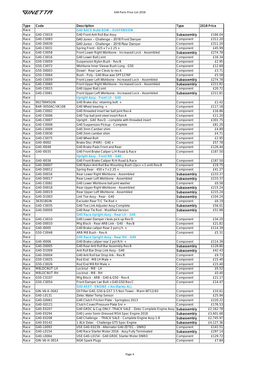| Type | Code             | Description                                                   | Type        | 2018 Price |
|------|------------------|---------------------------------------------------------------|-------------|------------|
| Race |                  | <b>G40 RACE Build BOM - SUSPENSION</b>                        |             |            |
| Race | G40-C0019        | G40 Front Anti Roll Bar Assy                                  | Subassembly | £166.04    |
| Race | G40-C0083        | G40 Junior - Challenge - 2016 Front Damper                    | Component   | £311.20    |
| Race | G40-D0039        | G40 Junior - Challenge - 2016 Rear Damper                     | Component   | £311.20    |
| Race | G40-C0031        | Spring Front - 625 x 7 x 2.25 +                               | Component   | £45.99     |
| Race | G40-C0058        | Front Lower Right Wishbone - Increased Lock - Assembled       | Subassembly | £274.78    |
| Race | G40-C0016        | G40 Lower Ball Joint                                          | Component   | £16.34     |
| Race | G50-C0059        | Suspension Nylon Bush - Rev B                                 | Component   | £2.95      |
| Race | G50-C0072        | Wishbone Inner Sleeve Bush Long - G50                         | Component   | £12.69     |
| Race | G50-D0003        | Dowel - Rear Lwr Clevis to rev A                              | Component   | £3.71      |
| Race | G50-C0064        | Bush - Poly - G40 Blue was SPF1276P                           | Component   | £5.58      |
| Race | G40-C0059        | Front Lower Left Wishbone - Increased Lock - Assembled        | Subassembly | £274.78    |
| Race | G40-C0060        |                                                               | Subassembly | £211.81    |
|      | G40-C0015        | Front Upper Right Wishbone - Increased Lock - Assembled       |             | £20.72     |
| Race |                  | G40 Upper Ball Joint                                          | Component   |            |
| Race | G40-C0061        | Front Upper Left Wishbone - Increased Lock - Assembled        | Subassembly | £211.81    |
| Race |                  | Upright Assy - Front LH - G40                                 |             |            |
| Race | 90278945GIN      | G40 Brake disc retaining bolt +                               | Component   | £1.42      |
| Race | BAR-0050AC/VK108 | G40 Wheel bearing +                                           | Component   | £117.18    |
| Race | G40-C0002        | G40 threaded insert lwr ball joint Rev A                      | Component   | £16.86     |
| Race | G40-C0006        | G40 Top ball joint steel insert Rev A                         | Component   | £11.20     |
| Race | G40-C0007        | Upright - G40 Rev D - complete with threaded insert           | Component   | £301.75    |
| Race | G40-C0008        | G40 Suspension Pickup - Complete                              | Component   | £81.20     |
| Race | G40-C0009        | G40 3mm Camber shim                                           | Component   | £4.89      |
| Race | G40-C0030        | G40 2mm camber shim                                           | Component   | £4.71      |
| Race | G40-C0075        | G40 Wheel Bolt                                                | Component   | £2.95      |
| Race | G40-I0002        | Brake Disc (PAIR) - G40 +                                     | Component   | £57.78     |
| Race | G40-I0048        | G40 Brake Pads Front and Rear                                 | Component   | £126.44    |
| Race | G40-I0035        | G40 Front Brake Caliper L/H Road & Race                       | Component   | £187.50    |
| Race |                  | Upright Assy - Front RH - G40                                 |             |            |
| Race | G40-I0036        | G40 Front Brake Caliper R/H Road & Race                       |             | £187.50    |
|      |                  | G40 Nylon Anti Roll Bar Mounting Bush (2pcs = 1 unit) Rev B   | Component   | £19.75     |
| Race | G40-D0007        |                                                               | Component   |            |
| Race | G40-D0012        | Spring Rear - 450 x 7 x 2.25 +                                | Component   | £41.27     |
| Race | G40-D0016        | Rear Lower Right Wishbone - Assembled                         | Subassembly | £233.37    |
| Race | G40-D0017        | Rear Lower Left Wishbone - Assembled                          | Subassembly | £233.37    |
| Race | G40-C0082        | G40 Lower Wishbone ball joint washer                          | Component   | £0.58      |
| Race | G40-D0018        | Rear Upper Right Wishbone - Assembled                         | Subassembly | £215.24    |
| Race | G40-D0019        | Rear Upper Left Wishbone - Assembled                          | Subassembly | £215.24    |
| Race | G40-D1003        | Link Toe Assy - Rear - G40                                    | Subassembly | £104.24    |
| Race | 363518GIN        | Excluder Rear T/C Tie Rod +                                   | Component   | £6.19      |
| Race | G40-C0035        | G40 Toe Link Adjuster Assy Complete                           | Subassembly | £56.01     |
| Race | G40-D0009        | G40 Rear Tie Rod - Modified Version                           | Subassembly | £51.88     |
| Race |                  | G40 Race Upright Assy - Rear LH - G40                         |             |            |
| Race | G40-C0010        | G40 Lower Damper clevis pick up Rev D                         | Component   | £34.20     |
| Race | G40-D0010        | Mtg Block - Rear ARB Link - G40 - Rev B                       | Component   | £21.82     |
| Race | G40-I0005        | G40 Brake caliper Rear 2 pot L/h +                            | Component   | £114.39    |
| Race | G50-C0048        | ARB M8 Bush - Rev A                                           | Component   | £5.31      |
| Race |                  | G40 Race Upright Assy - Rear RH - G40                         |             |            |
|      |                  |                                                               |             |            |
| Race | G40-I0006        | G40 Brake caliper rear 2 pot R/h +                            | Component   | £114.39    |
| Race | G40-D0005        | G40 Rear Anti Roll Bar Assembly Rev B                         | Subassembly | £128.80    |
| Race | G40-D1009        | Anti Roll Bar Drop Link Assy - G40                            | Subassembly | £42.43     |
| Race | G40-D0004        | G40 Anti Roll bar Drop link - Rev B                           | Component   | £9.73      |
| Race | G50-C0025        | Rod End - M8 LH Male +                                        | Component   | £15.40     |
| Race | G50-C0026        | Rod End M8 RH Male +                                          | Component   | £15.40     |
| Race | M8LOCNUT-LH      | Locknut - M8 - LH                                             | Component   | £0.52      |
| Race | M8LOCNUT-RH      | Locknut - M8 - RH                                             | Component   | £0.40      |
| Race | G50-C0107        | Mtg Block - ARB - G40 & G50 - Rev A                           | Component   | £21.17     |
| Race | G50-C0054        | Front Damper Lwr Bolt + G40 G50 Rev C                         | Component   | £14.47     |
| Race |                  | G40 ASSY - ENGINE + Ancillaries ALL                           |             |            |
| Race | GIN-V6-K-0042    | Oil Filter G40, G50 & G57 3.5 Non Tower - Mann W712/83        | Component   | £10.61     |
| Race | G40-L0131        | Zetec Water Temp Sensor                                       | Component   | £25.94     |
| Race | G40-G0061        | G40 Clutch Friction Plate - Springless 2013                   | Component   | £220.22    |
| Race | G40-G0121        | Clutch Cover/Pressure Plate Snr +                             | Component   | £176.53    |
| Race | G40-E0207        | G40 GRDC & Cup ONLY - TRACK SALE - Zetec Complete Engine Assy | Subassembly | £2,162.78  |
| Race | G40-E0294        | G40 Junior Semi-Dressed MSA Spec Engine 2018                  | Subassembly | £3,601.68  |
| Race | G40-E0208        | G40 Challenge - TRACK SALE - Complete Engine Assy 1.8         | Subassembly | £2,745.97  |
| Race | G40-E0142        | 1.8Ltr Zetec - Challenge GT5 Spec Engine                      | Subassembly | £4,127.36  |
|      |                  |                                                               |             |            |
| Race | G40-L0093        | USE G40-E0239 - Alternator G40 ZETEC - DNRO                   | Component   | £141.51    |
| Race | G40-L0154        | G40 Race Starter Motor 2016 - Assy Fully Terminated           | Subassembly | £297.14    |
| Race | G40-L0064        | USE G40-L0154 - G40 GRDC Starter Motor DNRO                   | Component   | £129.72    |
| Race | GIN-V6-H-0014    | <b>NGK Spark Plugs</b>                                        | Component   | £7.84      |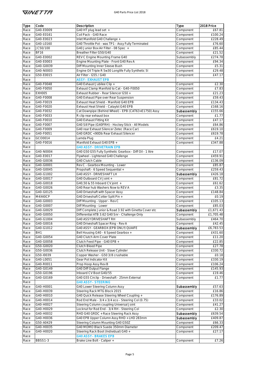

| Type | Code            | Description                                              | Type        | 2018 Price |
|------|-----------------|----------------------------------------------------------|-------------|------------|
| Race | G40-E0009       | G40 HT plug lead set +                                   | Component   | £67.81     |
| Race | G40-E0161       | Coil Pack - G40 Race                                     | Component   | £100.24    |
| Race | G40-E0023       | Inlet Manifold G40 Challange +                           | Component   | £228.49    |
|      |                 | G40 Throttle Pot - was TP1 - Assy Fully Terminated       |             |            |
| Race | G40-L0160       |                                                          | Component   | £76.60     |
| Race | JC50/100        | G40 Junior Box Air Filter - 08 Spec +                    | Component   | £85.44     |
| Race | <b>BF16</b>     | Breather Filter G50/G40                                  | Component   | £21.52     |
| Race | G40-E0002       | REV C Engine Mounting Frame G40                          | Subassembly | £274.78    |
| Race | G40-E0003       | Engine Mounting Plate - Front G40 Rev A                  | Component   | £94.34     |
| Race | G40-G0039       | Diff Mounting Inner Sleeve Bush                          | Component   | £5.31      |
| Race | G40-N0003       | Engine Oil Triple R 5w30 Longlife Fully Synthetic 5I     | Component   | £29.48     |
| Race | G50-E0015       | Air Filter - G55 / G40                                   | Component   | £47.17     |
| Race |                 | <b>ASSY - EXHAUST EPB</b>                                |             |            |
|      |                 |                                                          |             |            |
| Race | G40-F0048       | G40 Exhaust Jubilee Clip +                               | Component   | £2.30      |
| Race | G40-F0050       | Exhaust Clamp Manifold to Cat - G40-F0050                | Component   | £7.83      |
| Race | <b>EXH005</b>   | Exhaust Rubber - Rear Silencer G50 +                     | Component   | £21.23     |
| Race | G40-F0008       | G40 Exhaust Pipe over Rear Suspension                    | Component   | £59.43     |
| Race | G40-F0019       | Exhaust Heat Shield - Manifold G40 EPB                   | Component   | £134.43    |
| Race | G40-F0020       | Exhaust Heat Shield - Cataylst G40 EPB                   | Component   | £168.16    |
| Race | G40-F0032       | Cat Downpipe (Behind Wheel) - EPB (CAT63+E1750) Assy     | Subassembly | £155.66    |
| Race | G40-F0033       | R clip rear exhaust box                                  | Component   | E1.77      |
| Race | G40-F0010       | G40 Exhaust Fitting Kit                                  | Component   | £47.17     |
|      |                 |                                                          |             |            |
| Race | G40-F0007       | G40 Sill Pipe (G40FRH) - Hockey Stick - All Models       | Component   | £64.86     |
| Race | G40-F0009       | G40 rear Exhaust Silencer Zetec (Race Car)               | Component   | £619.10    |
| Race | G40-F0051       | G40 GRDC <90Db Rear Exhaust Silencer                     | Component   | £619.78    |
| Race | GCO0014         | Lamda Plug                                               | Component   | E4.21      |
| Race | G40-F0016       | Manifold Exhaust G40 EPB +                               | Component   | £347.88    |
| Race |                 | <b>G40 ASSY - DRIVETRAIN EPB</b>                         |             |            |
| Race | G40-N0004       | G40 G50 G55 Fully Synthetic Gearbox - Diff Oil - 1 litre | Component   | £17.07     |
| Race | G40-E0017       | Flywheel - Lightened G40 Challenge                       | Component   | £459.91    |
| Race | G40-G0036       | G40 Clutch Cable                                         | Component   | £136.09    |
| Race | G40-G0001       | Rev C - Gearbox Mounting - Lower                         | Component   | £85.87     |
|      |                 |                                                          |             |            |
| Race | G40-G0045       | Propshaft - 6 Speed Sequential +                         | Component   | £259.43    |
| Race | G40-G1002       | G40 ASSY - DRIVESHAFT LH                                 | Subassembly | £426.18    |
| Race | G40-G0017       | G40 Outboard CV Joint +                                  | Component   | £81.72     |
| Race | G40-G0018       | G40,50 & 55 Inboard CV joint +                           | Component   | E61.62     |
| Race | G40-G0026       | G40 Rear hub Washers Now to REV A                        | Component   | £3.35      |
| Race | G40-G0125       | G40 Driveshaft with Spacer Assy                          | Component   | £148.84    |
| Race | M4X40CP         | G40 Driveshaft Cotter Split Pin +                        | Component   | £0.19      |
| Race | G40-G0003       | Diff Mounting - Upper - Rev C                            | Component   | £105.13    |
|      | G40-G0007       |                                                          |             | £85.03     |
| Race |                 | Diff Mounting - Lower                                    | Component   |            |
| Race | G40-G0029       | Diff Complete Junior & Road 3.92 with Ginetta Cover etc  | Subassembly | £1,671.43  |
| Race | G40-G0050       | Differential ATB 3.62 G40 Snr - Challenge Only           | Component   | £1,705.48  |
| Race | G40-G1004       | G40 ASSY DRIVESHAFT RH                                   | Subassembly | £464.70    |
| Race | G40-G0016       | G40 Driveshaft Spacer Ring - Rev A                       | Component   | £42.45     |
| Race | G40-G1012       | G40 ASSY - GEARBOX (EPB ONLY) QUAIFE                     | Subassembly | £6,783.53  |
| Race | BH <sub>1</sub> | Bell Housing G40 - 6 Speed Gearbox +                     | Component   | £431.60    |
| Race | G40-G0054       | G40 Clutch Arm Cover Plate                               | Component   | £11.20     |
| Race | G40-G0058       | Clutch Feed Pipe - G40 EPB +                             | Component   | £22.85     |
| Race | G50-G0020       | Clutch Bleed Pipe                                        | Component   | £27.78     |
|      |                 |                                                          |             |            |
| Race | G50-G0036       | Clutch Release Unit - Slave Cylinder                     | Component   | £330.72    |
| Race | G50-I0039       | Copper Washer - G50 3/8 crushable                        | Component   | £0.18      |
| Race | G40-L0051       | Gear Pot Indicator Kit                                   | Component   | £330.19    |
| Race | G40-R0011       | Prop Hoop Assy Rev B                                     | Component   | £106.24    |
| Race | G40-G0149       | G40 Diff Output Flange                                   | Component   | £145.93    |
| Race | G50-G0196       | Inboard CV Boot G40/55                                   | Component   | £19.46     |
| Race | G40-G0169       | G40 G55 Circlip - Driveshaft - 25mm External             | Component   | £1.77      |
| Race |                 | <b>G40 ASSY - STEERING</b>                               |             |            |
| Race | G40-H0001       | G40 Lower Steering Column Assy                           | Subassembly | £57.63     |
| Race | G40-H0039       | Steering Rack MTG Block 2015                             | Component   | £16.86     |
|      |                 |                                                          |             |            |
| Race | G40-H0010       | G40 Quick Release Steering Wheel Coupling +              | Component   | £176.89    |
| Race | G40-H0014       | Rod End Male - 3/4 x 3/4 eco - Steering Col (0.75)       | Component   | £33.02     |
| Race | G40-H0027       | Steering Column coupling Universal Joint                 | Component   | £41.27     |
| Race | G40-H0029       | Locknut for Rod End - 3/4 RH - Steering Col              | Component   | £2.30      |
| Race | G40-H0032       | RHD G40 GRDC + Race Steering Rack Assy                   | Subassembly | £639.54    |
| Race | G40-H0036       | G40 EPB Upper Column Assy RHD + LHD 283mm                | Subassembly | £409.87    |
| Race | G50-A0429       | Steering Column Mounting G40 G50Z                        | Component   | £66.33     |
| Race | G40-H0035       | G40 MOMO Black Suede 350mm Diameter                      | Component   | £209.47    |
|      |                 |                                                          |             |            |
| Race | G40-H0020       | Steering Rack Boot (Individual) G40 +                    | Component   | £27.17     |
| Race |                 | <b>G40 ASSY - BRAKES EPB</b>                             |             |            |
| Race | <b>BBSS1-3</b>  | Brake Line Bolt - Caliper +                              | Component   | £7.26      |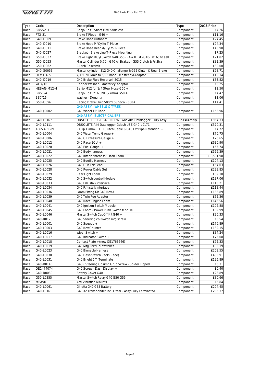

| Type         | Code            | Description                                                  | Type        | 2018 Price |
|--------------|-----------------|--------------------------------------------------------------|-------------|------------|
| Race         | <b>BBSS2-31</b> | Banjo Bolt - Short 10x1 Stainless                            | Component   | £7.26      |
| Race         | FT2-31          | Brake T Piece - G40 +                                        | Component   | £11.16     |
| Race         | G40-I0009       | <b>Brake Hose Outboard</b>                                   | Component   | £24.45     |
| Race         | G40-I0010       | Brake Hose M/Cyl to T-Piece                                  | Component   | £24.34     |
| Race         | G40-I0011       | Brake Hose Rear M/Cyl to T-Piece                             | Component   | £43.90     |
| Race         | G40-I0027       | Bracket - Brake Line T-Piece Mounting                        | Component   | E7.25      |
| Race         | G50-I0037       | Brake Light MCyl Switch G40 G55- RAW ITEM -G40-L0165 to sell | Component   | £21.82     |
| Race         | G50-I0053       | Master Cylinder 0.70 - G40 All Brakes - G55 Clutch & Frt Bra | Component   | £82.39     |
| Race         | G50-I0062       | Clutch Reservoir                                             | Component   | £30.00     |
|              | G40-G0053       |                                                              |             | £98.71     |
| Race         | <b>HEM1-4-5</b> | Master cylinder .812 G40 Challenge & G55 Clutch & Rear Brake | Component   |            |
| Race         |                 | 7/16UNF Male to 5/16 hose - Master cyl Adaptor               | Component   | £10.14     |
| Race         | G40-I0019       | G40 Brake Fluid Reservoir 2015                               | Component   | £53.82     |
| Race         | WC7/16          | Copper Washer - Master cyl adaptor                           | Component   | £0.25      |
| Race         | HEBAN-M12-4     | Banjo M12 for 1/4 Steel Hose G50 +                           | Component   | £2.50      |
| Race         | <b>BBS1-4</b>   | Banjo Bolt 7/16 UNF (27mm) G50 +                             | Component   | £4.47      |
| Race         | <b>BS7/16</b>   | Washer - Doughty                                             | Component   | £1.06      |
| Race         | G50-I0096       | Racing Brake Fluid 500ml Sunoco R600+                        | Component   | £14.41     |
| Race         |                 | <b>G40 ASSY - WHEELS &amp; TYRES</b>                         |             |            |
| Race         | G40-J0002       | G40 Wheel 15' Race +                                         | Component   | £158.96    |
| Race         |                 | <b>G40 ASSY - ELECTRICAL EPB</b>                             |             |            |
| Race         | G40-L0167       | OBSOLETE - USE G40-L0176 - Was AIM Datalogger- Fully Assy    | Subassembly | £964.33    |
| Race         | G40-L0111       | OBSOLETE AIM Datalogger Gdash USE G40-L0171                  | Component   | £370.31    |
| Race         | 1865375GIN      | P Clip 12mm - LHD Clutch Cable & G40 Ext Pipe Retention +    | Component   | £4.72      |
| Race         | G40-L0004       | G40 Water Temp Gauge +                                       | Component   | £70.75     |
| Race         | G40-L0006       | G40 Oil Pressure Gauge +                                     | Component   | £76.65     |
| Race         | G40-L0012       | G40 Race ECU +                                               | Component   | £630.90    |
| Race         | G40-L0020       | G40 Fuel Gauge +                                             | Component   | £65.74     |
| Race         | G40-L0021       | G40 Body harness                                             | Component   | £559.39    |
| Race         | G40-L0022       | G40 Interior harness/ Dash Loom                              | Component   | £1,591.98  |
| Race         | G40-L0025       | <b>G40 Bootlid Harness</b>                                   | Component   | £104.13    |
| Race         | G40-L0026       | G40 Hub link Lead                                            | Component   | £54.03     |
| Race         | G40-L0028       | G40 Power Cable Set                                          | Component   | £229.85    |
|              | G40-L0029       |                                                              |             | £82.10     |
| Race<br>Race | G40-L0032       | Rear Light Loom<br>G40 Switch control Module                 | Component   | £137.06    |
|              |                 |                                                              | Component   |            |
| Race         | G40-L0033       | G40 L/h stalk interface                                      | Component   | £113.21    |
| Race         | G40-L0034       | G40 R/h stalk interface                                      | Component   | £118.44    |
| Race         | G40-L0036       | Loom Fitting Kit G40 Rev A                                   | Component   | £188.89    |
| Race         | G40-L0039       | G40 Twin Fog Adaptor                                         | Component   | £62.36     |
| Race         | G40-L0040       | G40 Race Engine Loom                                         | Component   | £646.56    |
| Race         | G40-L0041       | G40 Ignition Switch Module                                   | Component   | £102.88    |
| Race         | G40-L0045       | G40 Loom - Power Push Switch Module                          | Component   | £82.99     |
| Race         | G40-L0046       | Master Switch Cut Off Kit G40 +                              | Component   | £90.33     |
| Race         | G40-B0173       | G40 Steering col switch mtg screw                            | Component   | £3.54      |
| Race         | G40-L0001       | G40 Speedo +                                                 | Component   | £176.89    |
| Race         | G40-L0003       | G40 Rev Counter +                                            | Component   | £139.15    |
| Race         | G40-L0016       | Wiper Switch +                                               | Component   | £84.24     |
| Race         | G40-L0017       | G40 Indicator Switch +                                       | Component   | £75.08     |
| Race         | G40-L0018       | Contact Plate + (now OE1763646)                              | Component   | £72.33     |
| Race         | G40-L0019       | G40 Mtg Brkt Col switches +                                  | Component   | £33.19     |
| Race         | G40-L0023       | <b>G40 Binnacle Harness</b>                                  | Component   | £209.55    |
| Race         | G40-L0030       | G40 Dash Switch Pack (Race)                                  | Component   | £403.91    |
| Race         | G40-L0031       | G40 Bright 6 T Terminate                                     | Component   | £195.89    |
| Race         | G40-R0145       | G40R Steering Column Grub Screw - Solder Tipped              | Component   | £6.31      |
| Race         | OE1474074       | G40 Screw - Dash Display +                                   | Component   | £0.40      |
| Race         | G40-R0080       | Battery Cover G40 +                                          | Component   | £28.89     |
|              |                 |                                                              |             |            |
| Race         | G50-L0355       | Master Switch Relay G40 G50 G55                              | Component   | £80.66     |
| Race         | M6AVM           | <b>Anti Vibration Mounts</b>                                 | Component   | £6.84      |
| Race         | G40-L0061       | Ginetta G40 G55 Battery                                      | Component   | £204.45    |
| Race         | G40-L0161       | G40 X2 Transponder inc. 1 Year - Assy Fully Terminated       | Component   | £206.37    |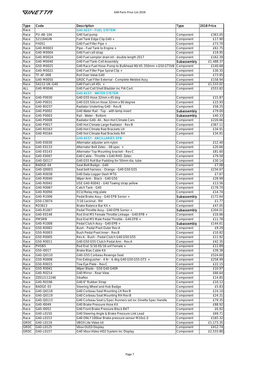| Type         | Code                   | Description                                                                              | Type                     | 2018 Price           |
|--------------|------------------------|------------------------------------------------------------------------------------------|--------------------------|----------------------|
| Race         |                        | <b>G40 ASSY - FUEL SYSTEM</b>                                                            |                          |                      |
| Race         | <b>PU-AB-104</b>       | G40 fuel pump                                                                            | Component                | £363.05              |
| Race         | 521184GIN              | Fuel Tank Edge Clip G40 +                                                                | Component                | £17.90               |
| Race         | FH051                  | G40 Fuel Filler Pipe +                                                                   | Component                | £73.70               |
| Race         | G40-M0003              | Pipe - Fuel Tank to Engine +                                                             | Component                | £61.75               |
| Race         | G40-M0004              | G40 Fuel cell strap                                                                      | Component                | £19.95               |
| Race         | G40-M0024              | G40 Fuel sampler drain kit - double length 2017                                          | Component                | £162.39              |
| Race         | G40-M0040              | G40 Fuel Tank-Cell Assembly                                                              | Subassembly              | £1,488.37            |
| Race         | G50-M0025              | G40 Race Fuel Hose-Pump to Bulkhead 90/45-350mm + G50 GT3V8                              | Component                | £140.68              |
| Race         | G40-M0022              | G40 Fuel Filler Pipe Spiral Clip +                                                       | Component                | £30.35               |
| Race         | <b>TF-AF-008</b>       | Roll Over Valve G40                                                                      | Component                | £73.95               |
| Race         | G40-M0050              | GRDC Fuel Filler External - Complete Welded Assy                                         | Component                | £158.94              |
| Race         | SA112-UK-G40           | G40 Fuel cell 45L +                                                                      | Component                | £1,533.02            |
| ALL          | G40-M0046              | G40 Fuel Cell Shell Bladder inc FIA Cert.                                                | Component                | £553.82              |
| Race         |                        | <b>G40 ASSY - WATER SYSTEM</b>                                                           |                          |                      |
| Race         | G40-P0030              | G40 G55 Hose 32mm x 45 deg                                                               | Component                | £15.87               |
| Race         | G40-P0031              | G40 G55 Silicon Hose 32mm x 90 degree                                                    | Component                | £15.93               |
| Race         | G40-B0237              | Radiator Undertray G40 - Rev B                                                           | Component                | £58.25               |
| Race         | G40-P0002              | G40 Water Rail - Top - with temp insert                                                  | Subassembly              | £79.00               |
| Race         | G40-P0003              | Rail - Water - Bottom                                                                    | Subassembly              | £40.33               |
| Race         | G40-P0008              | Radiator G40- Ali - Non Hot Climate Cars                                                 | Component                | £220.66              |
| Race         | G40-P0017              | G40 Hot Climate Large Radiator - Rev B                                                   | Component                | £367.11              |
| Race         | G40-R0163              | G40 Hot Climate Rad Brackets LH                                                          | Component                | £34.91               |
| Race         | G40-R0164              | G40 Hot Climate Rad Brackets RH                                                          | Component                | £34.91               |
| Race         |                        | <b>G40 ASSY - ANCILLARIES EPB</b>                                                        |                          |                      |
| Race         | G40-E0030              | Alternator adjuster arm nylon                                                            | Component                | £12.40               |
| Race         | G40-E0133              | Alternator Belt Zetec - 08 spec +                                                        | Component                | £20.66               |
| Race         | G40-E0143              | Alternator Top Mounting bracket - Rev C                                                  | Component                | £81.60               |
| Race         | G40-E0007              | G40 Cable - Throttle + G40 RHD Zetec                                                     | Component                | £79.58               |
| Race         | G40-Q0117              | G40 G55 Roll Bar Padding for 50mm dia. tube                                              | Component                | £30.14               |
| Race         | BADGE-04               | Seat Belt Badge - G40                                                                    | Component                | £7.08                |
| Race         | G40-Q0003              | Seat belt harness - Orange - G40 G50 G55                                                 | Component                | £234.67              |
| Race         | G40-R0038              | G40 Data Logger Dash MTG                                                                 | Component                | £7.67                |
| Race         | G40-R0040              | Wiper Arm - Black - G40 G50                                                              | Component                | £28.99               |
| Race         | G40-R0042              | USE G40-R0041 - G40 Towing strap yellow                                                  | Component                | £13.56               |
| Race         | G40-R0067              | Catch Tank - G40                                                                         | Component                | £178.70              |
| Race         | G40-R0094              | ECU/Relay mtg plate                                                                      | Component                | £14.74               |
| Race         | G40-R1006              | Pedal Brake Assy - G40 EPB Senior +                                                      | Subassembly              | £172.64              |
| Race         | G50-C0074              | 7/16 Locknut - RH                                                                        | Component                | £1.77                |
| Race         | RD3613                 | Brake Balance Bar Kit +                                                                  | Component                | £47.05               |
| Race         | G40-R1007<br>G40-E0148 | Pedal Throttle Assy - G40 EPB Senior +<br>Rod End M5 Female Throttle Linkage - G40 EPB + | Subassembly<br>Component | £204.01              |
| Race         | PM5MB                  | Rod End M5 Male Pedal Throttle - G40 EPB +                                               |                          | £10.66<br>£11.78     |
| Race         |                        | Pedal Clutch Assy - G40 EPB +                                                            | Component                | £144.61              |
| Race         | G40-R1008              | Bush - Pedal Pivot Outer Rev A                                                           | Subassembly              | £9.29                |
| Race         | G50-R0002<br>G50-R0003 |                                                                                          | Component                |                      |
| Race         | G50-R0005              | Bush Pedal Pivot Inner - Rev B<br>Rev A - Bush - Pedal Clutch G40 G50 G55                | Component                | £10.82               |
| Race         | G50-R0011              | G40 G50 G55 Clutch Pedal Arm - Rev A                                                     | Component                | £11.92<br>£42.35     |
| Race<br>Race | PHSB <sub>5</sub>      | Rod End 5/16 X5/16 unf Female +                                                          | Component<br>Component   | £11.89               |
|              | G50-I0017              |                                                                                          |                          |                      |
| Race<br>Race | G40-Q0110              | Brake Bias Cable Kit<br>G40-G55 Corbeau Revenge Seat                                     | Component<br>Component   | £39.38<br>£524.60    |
| Race         | G50-R0008              | Fire Extinguisher - 4 ltr - 6.4kg G40 G50 G55 GT3 +                                      | Component                | £258.99              |
|              | G50-R0015              | Tow Eye Plate - Rev C                                                                    | Component                | £22.15               |
| Race<br>Race | G50-R0041              | Wiper Blade - G50 G40 G40R                                                               | Component                | £10.97               |
| Race         | G40-R0214              | G40 Mirror - Rear View                                                                   | Component                | £66.64               |
| Race         | ZZ012112246            | <b>Sikaflex</b>                                                                          | Component                | £14.85               |
| Race         | G40-R0196              | G40 6" Rubber Strap                                                                      | Component                | £10.12               |
| Race         | BADGE-03               | Steering Wheel and Hub Badge                                                             | Component                | £5.83                |
| Race         | G40-Q0118              | G40 Corbeau Seat Mounting LH Rev B                                                       | Component                | £24.10               |
| Race         | G40-Q0119              | G40 Corbeau Seat Mounting RH Rev B                                                       | Component                | £24.31               |
| Race         | G40-Q0113              | G40 Corbeau Seat L/Spec Runners set inc Ginetta Spec Handle                              | Component                | £79.35               |
| Race         | G40-I0049              | G40 Brake Pressure Hose Kit                                                              | Component                | £88.92               |
| Race         | G40-I0052              | G40 Front Brake Pressure Block BKT                                                       | Component                |                      |
|              | G40-L0150              |                                                                                          |                          | £6.92                |
| Race         | G40-L0153              | G40 Steering Angle & Brake Pressure Link Lead                                            | Component<br>Component   | £69.71               |
| Race<br>GRDC | G40-L0119              | G40 ONLY 100bar Brake pressure sensor M10x1.0<br>VBOX Lite Video kit                     | Component                | £165.32<br>£1,173.35 |
| <b>GRDC</b>  | G40-L0125              | Vbox OLED Display                                                                        | Component                | £412.74              |
| GRDC         | G40-L0157              | G40 Vbox Video HD2 System inc Display                                                    | Component                | £2,533.80            |
|              |                        |                                                                                          |                          |                      |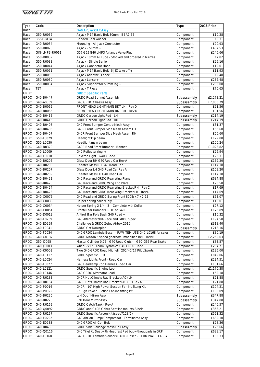| <b>Type</b>                | Code           | Description                                                  | Type                   | 2018 Price       |
|----------------------------|----------------|--------------------------------------------------------------|------------------------|------------------|
| Race                       |                | <b>G40 Air Jack Kit Assy</b>                                 |                        |                  |
| Race                       | G50-R0052      | Airjack M14 Banjo Bolt 30mm - BBA2-55                        | Component              | £10.28           |
| Race                       | BSSC-M14       | <b>Bonded Seal Washer</b>                                    | Component              | £0.31            |
| Race                       | G40-R0034      | Mounting - Air Jack Connector                                | Component              | £20.93           |
| Race                       | G50-R0028      | Airjack - 50mm +                                             | Component              | £437.53          |
| Race                       | GIN-LMP3-R0061 | G57 G55 G40 LMP3 Airlance Valve Plug                         | Component              | £246.66          |
| Race                       | G50-R0032      | Airjack 10mm Ali Tube - Stocked and ordered in Metres        | Component              | £7.02            |
| Race                       | G50-R0033      | Airjack - Single Banjo                                       | Component              | £26.16           |
| Race                       | G50-R0044      | Airjack Connector Hose                                       | Component              | £19.01           |
| Race                       | G50-R0051      | Airjack M14 Banjo Bolt -6 JIC take off +                     | Component              | £11.93           |
| Race                       | G50-R0059      | Airjack Adaptor - Lance                                      | Component              | £2.48            |
| Race                       | G50-R0030      | Airjack Lance +                                              | Component              | £252.48          |
| Race                       | G50-R0034      | Airjack Support for 50mm leg +                               | Component              | £205.08          |
| Race                       | TET            | Airjack T Piece                                              | Component              | £76.65           |
| <b>GRDC</b>                |                | <b>GRDC Specific Parts</b>                                   |                        |                  |
| <b>GRDC</b>                | G40-B0447      | <b>GRDC Road Bonnet Assembly</b>                             | Subassembly            | £2,273.21        |
| GRDC                       | G40-A0339      | G40 GRDC Chassis Assy                                        | Subassembly            | £7,006.79        |
| GRDC                       | G40-B0065      | FRONT HEAD LIGHT MAIN BKT LH - Rev D                         | Component              | £91.56           |
| GRDC                       | G40-B0066      | FRONT HEAD LIGHT MAIN BKT RH - Rev D                         | Component              | £91.56           |
| GRDC                       | G40-B0415      | GRDC Carbon Light Pod - LH                                   | Subassembly            | £214.19          |
| GRDC                       | G40-B0416      | GRDC Carbon Light Pod - RH                                   | Subassembly            | £214.19          |
| <b>GRDC</b>                | G40-B0408      | G40 Front Bumper Centre Mesh Assy                            | Component              | £81.37           |
| GRDC                       | G40-B0406      | G40R Front Bumper Side Mesh Assem LH                         | Component              | £56.60           |
| GRDC                       | G40-B0407      | G40R Front Bumper Side Mesh Assem RH                         | Component              | £56.60           |
| GRDC                       | G50-L0029      | Headlight Dip beam                                           | Component              | £122.88          |
| GRDC                       | G50-L0030      | Headlight main beam                                          | Component              | £100.24          |
| <b>GRDC</b>                | G40-B0320      | G40R Road Front Bumper - Bonnet                              | Component              | £1,023.82        |
| GRDC                       | G40-L0009      |                                                              |                        |                  |
|                            | G40-L0010      | G40 Reflector ring +                                         | Component<br>Component | £26.94<br>£28.31 |
| <b>GRDC</b><br><b>GRDC</b> |                | Reverse Light - G40R Road                                    |                        |                  |
|                            | G40-B0206      | Glass Door RH G40 Road Car Rev A                             | Component              | £159.20          |
| <b>GRDC</b>                | G40-B0208      | Cheater Glass RH G40 Road Car                                | Component              | £117.18          |
| GRDC                       | G40-B0207      | Glass Door LH G40 Road Car Rev A                             | Component              | £159.20          |
| GRDC                       | G40-B0209      | Cheater Glass LH G40 Road Car                                | Component              | £117.18          |
| GRDC                       | G40-B0422      | G40 Race and GRDC Rear Wing Plane                            | Component              | £684.88          |
| GRDC                       | G40-B0428      | G40 Race and GRDC Wing End Plate                             | Component              | £23.58           |
| GRDC                       | G40-B0424      | G40 Race and GRDC Rear Wing Bracket RH - Rev C               | Component              | £17.69           |
| GRDC                       | G40-B0423      | G40 Race and GRDC Rear Wing Bracket LH - Rev D               | Component              | £17.69           |
| GRDC                       | G40-C0076      | G40 Road and GRDC Spring Front 800lb x 7 x 2.25              | Component              | £53.07           |
| GRDC                       | G40-C0033      | Helper spring collar Only                                    | Component              | £13.01           |
| <b>GRDC</b>                | G40-C0034      | Helper Spring 2 1/4 - 3 - Complete with Collar               | Component              | £27.12           |
| GRDC                       | G40-C0051      | Front/Rear Damper GRDC or G40R                               | Component              | £176.89          |
| <b>GRDC</b>                | G40-D0013      | Antiroll Bar Poly Bush G40 Road +                            | Component              | £10.32           |
| <b>GRDC</b>                | G40-E0239      | G40 Alternator 90A Race and GRDC Spec.                       | Component              | £194.58          |
| <b>GRDC</b>                | G40-E0259      | Challenge & GRDC Zetec Airbox 2016                           | Component              | £318.40          |
| GRDC                       | G40-F0041      | <b>GRDC Cat Downpipe</b>                                     | Subassembly            | £218.16          |
| GRDC                       | G40-F0034      | G40 GRDC Lambda Bosch - RAW ITEM USE G40-L0168 for sales     | Component              | £80.19           |
| <b>GRDC</b>                | G40-G0137      | GRDC Mazda 5 speed gearbox - machined bell - Rev B           | Component              | £2,269.63        |
| <b>GRDC</b>                | G50-I0095      | Master Cylinder 0.75 - G40 Road Clutch - G50-G55 Rear Brake  | Component              | £83.57           |
| <b>GRDC</b>                | G40-J0003      | Wheel 7x17 - Team Dynamics G40 GRDC Road                     | Component              | £204.71          |
| <b>GRDC</b>                | G40-K0001      | Tyre G40 GRDC Road Michelin 205/40/17 Pilot Sports           | Component              | £125.00          |
| <b>GRDC</b>                | G40-L0117      | <b>GRDC Specific ECU</b>                                     | Component              | £849.06          |
| GRDC                       | G40-L0024      | Harness Lights Front - Road Car                              | Component              | £234.51          |
| <b>GRDC</b>                | G40-L0027      | G40 Headlamp Pod Harness Road Car                            | Component              | £131.66          |
| GRDC                       | G40-L0121      | <b>GRDC Specific Engine Loom</b>                             | Component              | £1,170.38        |
| <b>GRDC</b>                | G40-L0146      | G40 GRDC Alternator Lead                                     | Component              | £52.18           |
| <b>GRDC</b>                | G40-R0183      | G40R Hot Climate Rad Bracket (AC) LH                         | Component              | £21.88           |
| <b>GRDC</b>                | G40-R0184      | G40R Hot Climate Rad Bracket (AC) RH Rev A                   | Component              | £21.88           |
| GRDC                       | G40-P0016      | G40R - 10" High Power Suction Fan inc fitting Kit            | Component              | £104.21          |
| GRDC                       | G40-P0025      | 9" High Power Suction Fan inc fitting kit                    | Component              | £100.09          |
| GRDC                       | G40-B0226      | L/H Door Mirror Assy                                         | Subassembly            | £347.88          |
| GRDC                       | G40-B0228      | R/H Door Mirror Assy                                         | Subassembly            | £347.88          |
| GRDC                       | G40-R0169      | GRDC Catch Tank - Rev A                                      | Component              | £240.57          |
| GRDC                       | G40-Q0092      | GRDC and G40R Cobra Seat inc mounts & belt                   | Component              | £363.21          |
| GRDC                       | G40-R0167      | GRDC Specific Aircon Kit (spec7128/1)                        | Component              | £551.32          |
| <b>GRDC</b>                | G40-E0292      | G40 AirCon Pump/Compressor - Terminated Assy                 | Component              | £639.10          |
| GRDC                       | G40-E0238      | G40 GRDC Air Con Belt                                        | Component              | £28.36           |
| <b>GRDC</b>                | G40-B0439      | GRDC Side Sausage Mesh Grill Assy                            | Subassembly            | £26.66           |
| <b>GRDC</b>                | G40-Q0116      | G40 Tillet XL Seat with Headrest Pad but without pads in GRP | Component              | £688.17          |
| GRDC                       | G40-L0168      | G40 GRDC Lambda Sensor (G40R) Bosch - TERMINATED ASSY        | Component              | £85.33           |